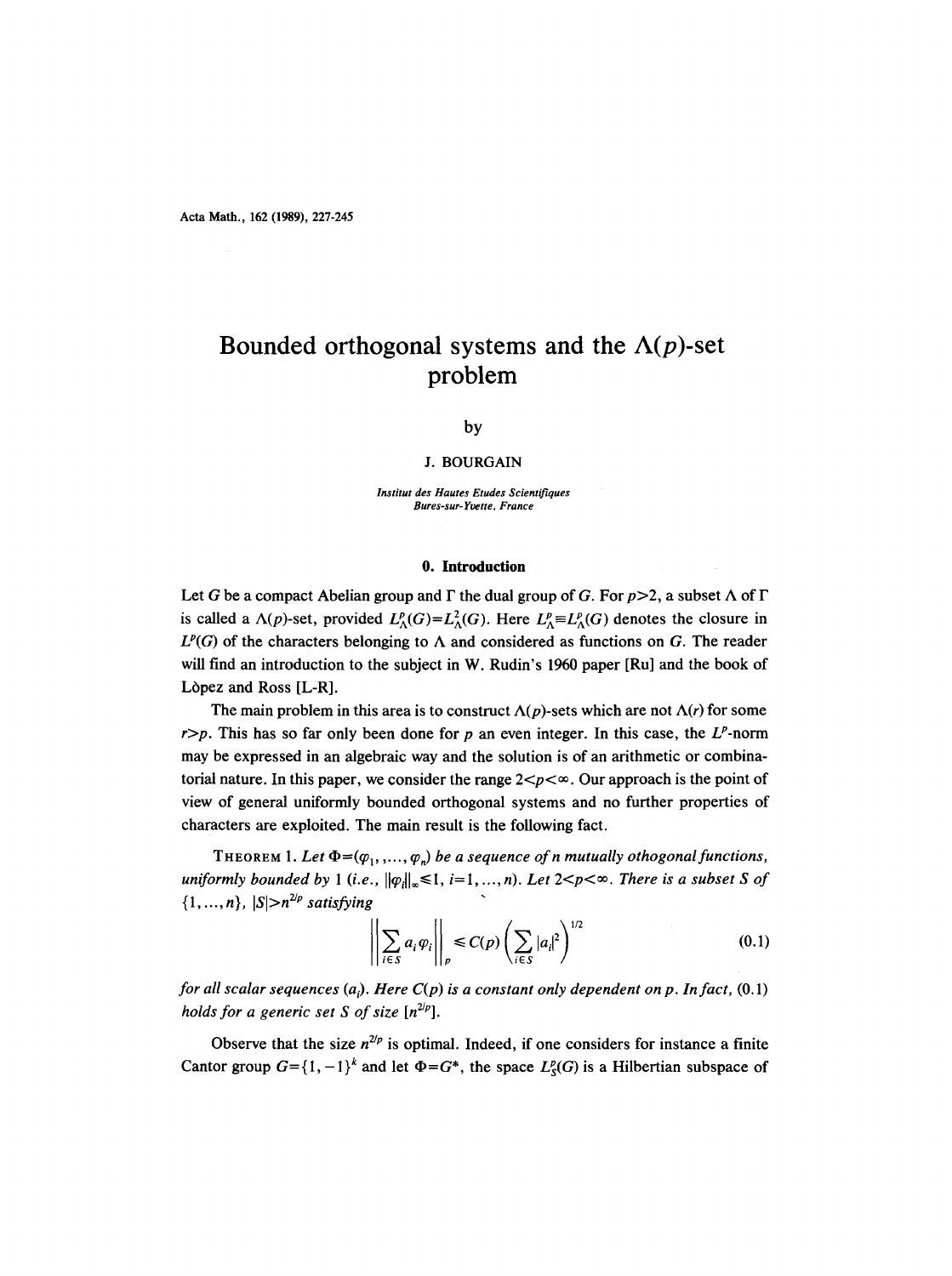# **Bounded orthogonal systems and the**  $\Lambda(p)$ **-set problem**

by

#### **J. BOURGAIN**

*Institut des Hautes Etudes Scientifiques Bures-sur-Y~tte, France* 

## **0. Introduction**

Let G be a compact Abelian group and  $\Gamma$  the dual group of G. For  $p > 2$ , a subset  $\Lambda$  of  $\Gamma$ is called a  $\Lambda(p)$ -set, provided  $L^p_{\Lambda}(G) = L^2_{\Lambda}(G)$ . Here  $L^p_{\Lambda} \equiv L^p_{\Lambda}(G)$  denotes the closure in  $L^p(G)$  of the characters belonging to  $\Lambda$  and considered as functions on G. The reader will find an introduction to the subject in W. Rudin's 1960 paper [Ru] and the book of Lòpez and Ross [L-R].

The main problem in this area is to construct  $\Lambda(p)$ -sets which are not  $\Lambda(r)$  for some  $r$ >p. This has so far only been done for p an even integer. In this case, the  $L^p$ -norm may be expressed in an algebraic way and the solution is of an arithmetic or combinatorial nature. In this paper, we consider the range  $2 < p < \infty$ . Our approach is the point of view of general uniformly bounded orthogonal systems and no further properties of characters are exploited. The main result is the following fact.

THEOREM 1. Let  $\Phi = (\varphi_1, \ldots, \varphi_n)$  be a sequence of n mutually othogonal functions, *uniformly bounded by 1 (i.e.,*  $\|\varphi_i\|_{\infty} \leq 1$ ,  $i=1,\ldots,n$ ). Let  $2 < p < \infty$ . There is a subset S of  $\{1, ..., n\}, |S| > n^{2/p}$  satisfying

$$
\left\| \sum_{i \in S} a_i \varphi_i \right\|_p \le C(p) \left( \sum_{i \in S} |a_i|^2 \right)^{1/2} \tag{0.1}
$$

*for all scalar sequences (a<sub>i</sub>). Here*  $C(p)$  *is a constant only dependent on p. In fact, (0.1) holds for a generic set S of size*  $[n^{2/p}]$ .

Observe that the size  $n^{2/p}$  is optimal. Indeed, if one considers for instance a finite Cantor group  $G = \{1, -1\}^k$  and let  $\Phi = G^*$ , the space  $L^p(G)$  is a Hilbertian subspace of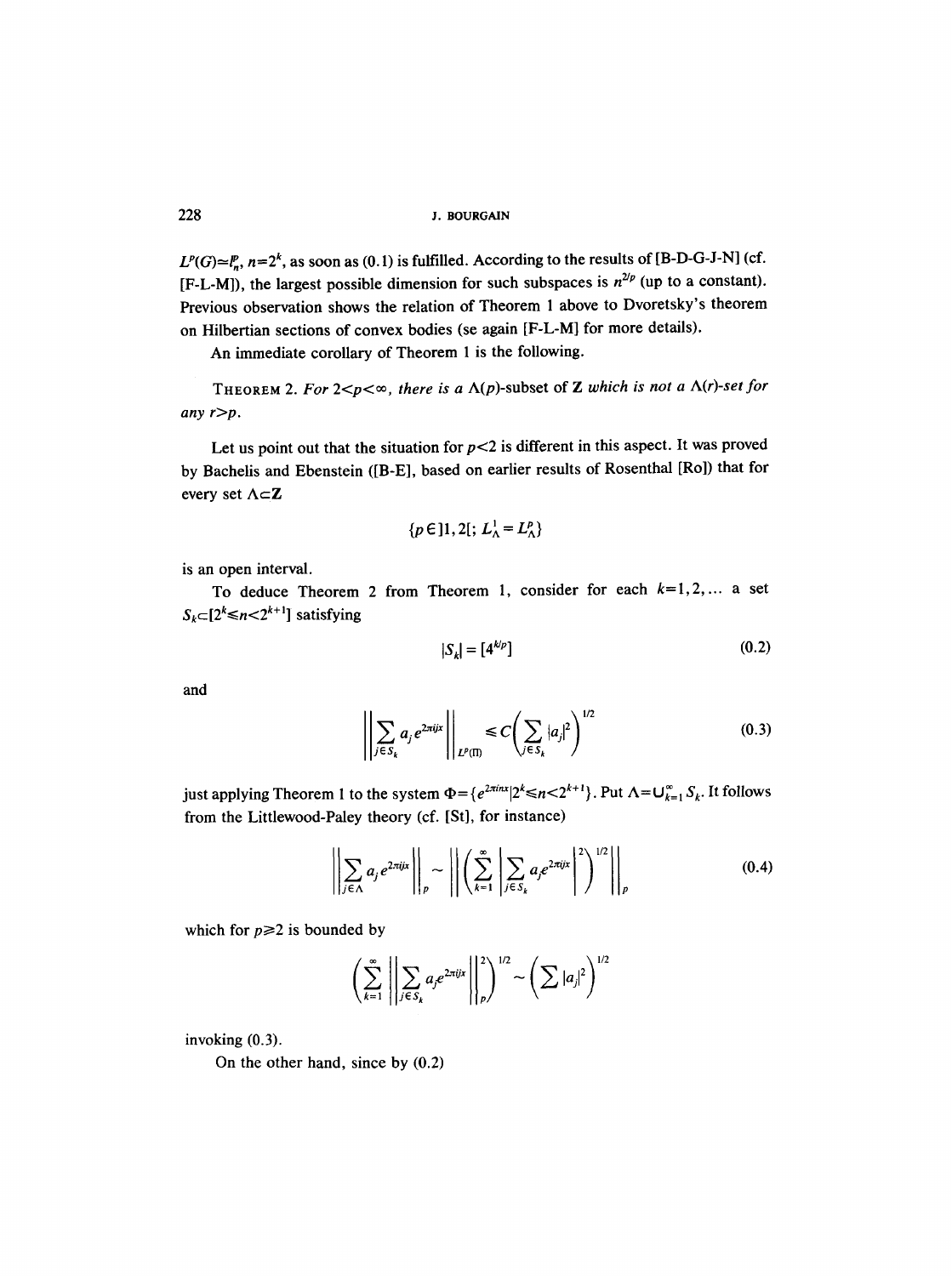$L^p(G) \simeq l_p^n$ ,  $n=2^k$ , as soon as (0.1) is fulfilled. According to the results of [B-D-G-J-N] (cf. [F-L-M]), the largest possible dimension for such subspaces is  $n^{2/p}$  (up to a constant). Previous observation shows the relation of Theorem 1 above to Dvoretsky's theorem on Hilbertian sections of convex bodies (se again [F-L-M] for more details).

An immediate corollary of Theorem 1 is the following.

THEOREM 2. For  $2 < p < \infty$ , there is a  $\Lambda(p)$ -subset of Z which is not a  $\Lambda(r)$ -set for *any r>p.* 

Let us point out that the situation for  $p<2$  is different in this aspect. It was proved by Bachelis and Ebenstein ([B-E], based on earlier results of Rosenthal [Ro]) that for every set  $\Lambda \subset Z$ 

$$
\{p\in]1,2[;L^1_\Lambda=L^p_\Lambda\}
$$

is an open interval.

To deduce Theorem 2 from Theorem 1, consider for each  $k=1,2,...$  a set  $S_k \subset [2^k \le n < 2^{k+1}]$  satisfying

$$
|S_k| = [4^{k/p}] \tag{0.2}
$$

and

$$
\left\| \sum_{j \in S_k} a_j e^{2\pi i jx} \right\|_{L^p(\Pi)} \leq C \left( \sum_{j \in S_k} |a_j|^2 \right)^{1/2} \tag{0.3}
$$

just applying Theorem 1 to the system  $\Phi = \{e^{2\pi i nx} | 2^k \le n \le 2^{k+1}\}\$ . Put  $\Lambda = \bigcup_{k=1}^{\infty} S_k$ . It follows from the Littlewood-Paley theory (cf. [St], for instance)

$$
\left\| \sum_{j \in \Lambda} a_j e^{2\pi i j x} \right\|_p \sim \left\| \left( \sum_{k=1}^{\infty} \left| \sum_{j \in S_k} a_j e^{2\pi i j x} \right|^2 \right)^{1/2} \right\|_p \tag{0.4}
$$

which for  $p \geq 2$  is bounded by

$$
\left(\sum_{k=1}^{\infty}\left|\left|\sum_{j\in S_k}a_j e^{2\pi i jx}\right|\right|_{p}^{2}\right)^{1/2} \sim \left(\sum|a_j|^2\right)^{1/2}
$$

invoking (0.3).

On the other hand, since by (0.2)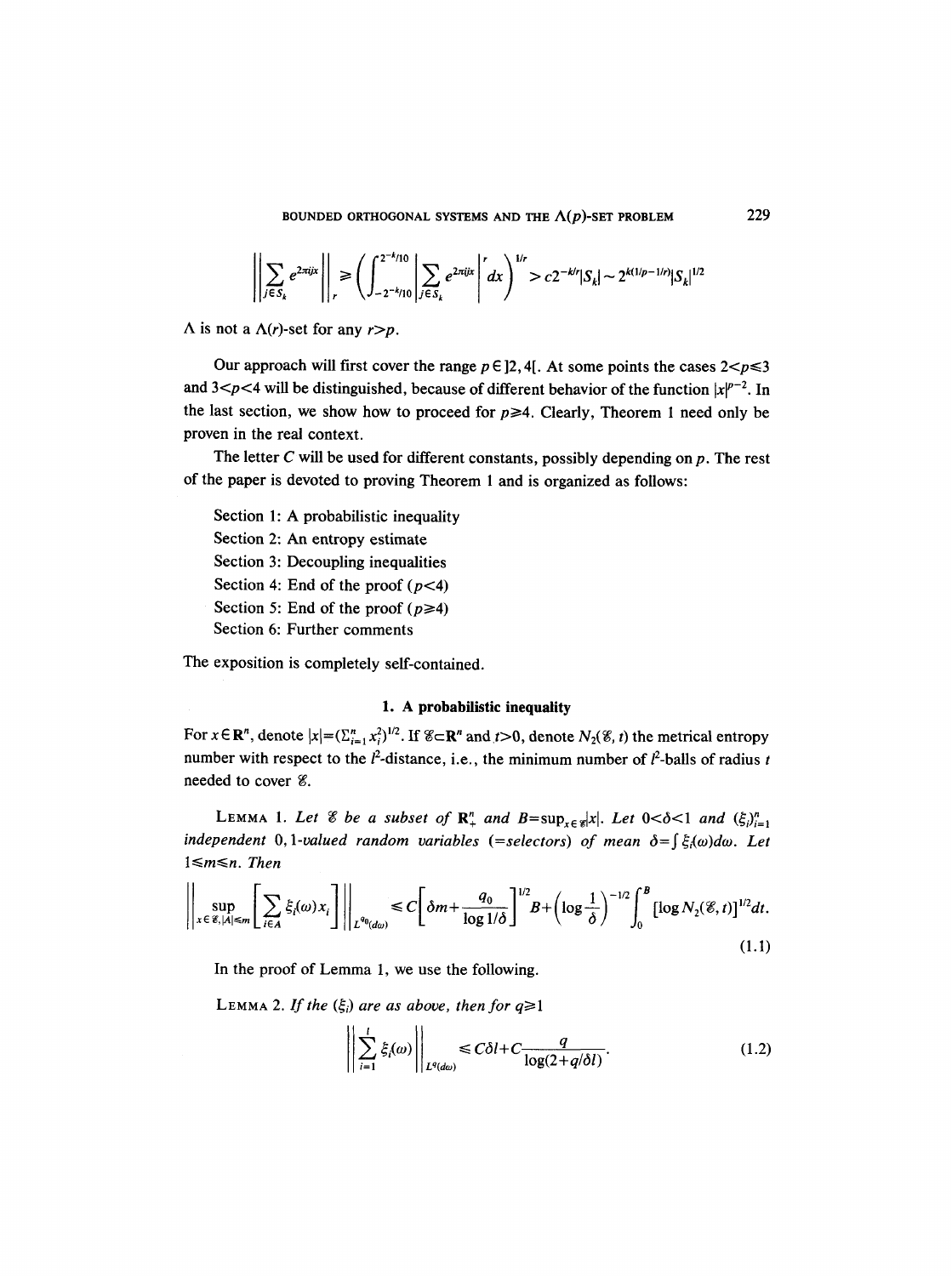$$
\left|\left|\sum_{j\in S_k} e^{2\pi i jx}\right|\right|_r \ge \left(\int_{-2^{-k}/10}^{2^{-k}/10} \left|\sum_{j\in S_k} e^{2\pi i jx}\right|^{r} dx\right)^{1/r} > c2^{-k/r} |S_k| \sim 2^{k(1/p-1/r)} |S_k|^{1/2}
$$

 $\Lambda$  is not a  $\Lambda(r)$ -set for any  $r > p$ .

Our approach will first cover the range  $p \in ]2, 4[$ . At some points the cases  $2 \le p \le 3$ and  $3 < p < 4$  will be distinguished, because of different behavior of the function  $|x|^{p-2}$ . In the last section, we show how to proceed for  $p \ge 4$ . Clearly, Theorem 1 need only be proven in the real context.

The letter  $C$  will be used for different constants, possibly depending on  $p$ . The rest of the paper is devoted to proving Theorem 1 and is organized as follows:

Section 1: A probabilistic inequality Section 2: An entropy estimate Section 3: Decoupling inequalities Section 4: End of the proof  $(p<4)$ Section 5: End of the proof  $(p \geq 4)$ Section 6: Further comments

The exposition is completely self-contained.

### 1. A probabilistic inequality

For  $x \in \mathbb{R}^n$ , denote  $|x| = (\sum_{i=1}^n x_i^2)^{1/2}$ . If  $\mathscr{E} \subset \mathbb{R}^n$  and  $t > 0$ , denote  $N_2(\mathscr{E}, t)$  the metrical entropy number with respect to the  $l^2$ -distance, i.e., the minimum number of  $l^2$ -balls of radius t needed to cover *%*.

LEMMA 1. Let  $\mathscr E$  be a subset of  $\mathbb{R}^n_+$  and  $B=\sup_{x\in\mathscr{D}}|x|$ . Let  $0<\delta<1$  and  $(\xi_i)_{i=1}^n$ *independent* 0, 1-valued random variables (=selectors) of mean  $\delta = \int \xi_i(\omega) d\omega$ . Let  $1 \le m \le n$ . Then

$$
\left\| \sup_{x \in \mathcal{E}, |A| \le m} \left[ \sum_{i \in A} \xi_i(\omega) x_i \right] \right\|_{L^{q_0}(d\omega)} \le C \left[ \delta m + \frac{q_0}{\log 1/\delta} \right]^{1/2} B + \left( \log \frac{1}{\delta} \right)^{-1/2} \int_0^B \left[ \log N_2(\mathcal{E}, t) \right]^{1/2} dt. \tag{1.1}
$$

In the proof of Lemma 1, we use the following.

LEMMA 2. If the  $(\xi_i)$  are as above, then for  $q \ge 1$ 

$$
\left\| \sum_{i=1}^{l} \xi_i(\omega) \right\|_{L^q(\text{d}\omega)} \leq C\delta l + C \frac{q}{\log(2+q/\delta l)}.\tag{1.2}
$$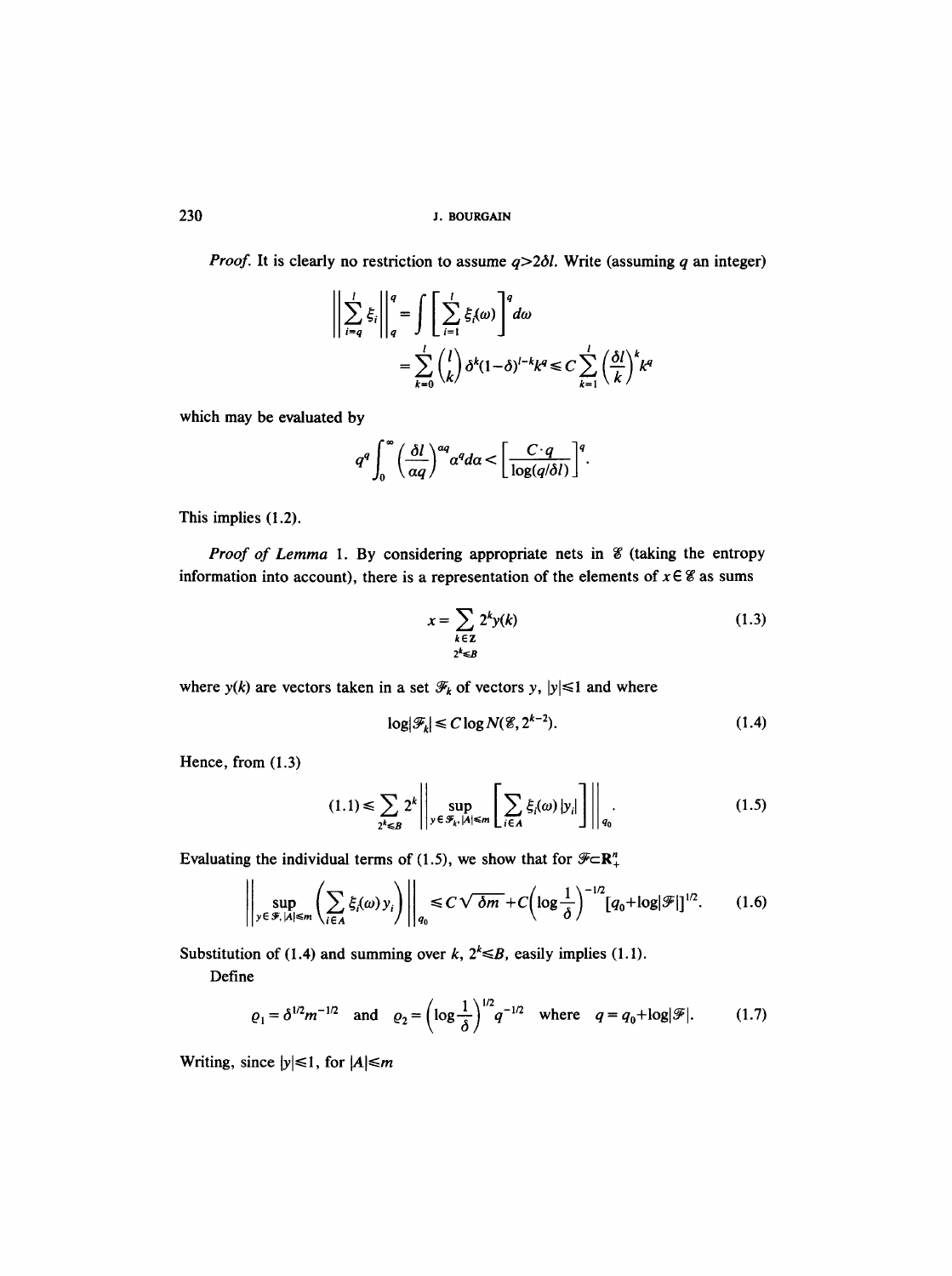*Proof.* It is clearly no restriction to assume  $q > 2\delta l$ . Write (assuming q an integer)

$$
\left\| \sum_{i=q}^{l} \xi_{i} \right\|_{q}^{q} = \int \left[ \sum_{i=1}^{l} \xi_{i}(\omega) \right]^{q} d\omega
$$
  
= 
$$
\sum_{k=0}^{l} {l \choose k} \delta^{k} (1-\delta)^{l-k} k^{q} \le C \sum_{k=1}^{l} {(\delta l)^{k} k^{q}}
$$

which may be evaluated by

$$
q^q \int_0^\infty \left(\frac{\delta l}{\alpha q}\right)^{\alpha q} \alpha^q d\alpha < \left[\frac{C \cdot q}{\log(q/\delta l)}\right]^q.
$$

This implies **(1.2).** 

*Proof of Lemma 1.* By considering appropriate nets in *L* (taking the entropy information into account), there is a representation of the elements of  $x \in \mathscr{C}$  as sums

$$
x = \sum_{\substack{k \in \mathbb{Z} \\ 2^k \leq B}} 2^k y(k) \tag{1.3}
$$

where  $y(k)$  are vectors taken in a set  $\mathcal{F}_k$  of vectors y,  $|y| \leq 1$  and where

$$
\log |\mathcal{F}_k| \le C \log N(\mathcal{E}, 2^{k-2}).\tag{1.4}
$$

Hence, from (1.3)

$$
(1.1) \le \sum_{2^k \le B} 2^k \left| \left| \sup_{y \in \mathcal{F}_k, |A| \le m} \left[ \sum_{i \in A} \xi_i(\omega) |y_i| \right] \right| \right|_{q_0}.
$$
 (1.5)

Evaluating the individual terms of (1.5), we show that for  $\mathscr{F} \subset \mathbb{R}^n_+$ 

$$
\left\| \sup_{y \in \mathcal{F}, |A| \leq m} \left( \sum_{i \in A} \xi_i(\omega) y_i \right) \right\|_{q_0} \leq C \sqrt{\delta m} + C \left( \log \frac{1}{\delta} \right)^{-1/2} \left[ q_0 + \log |\mathcal{F}| \right]^{1/2}.
$$
 (1.6)

Substitution of (1.4) and summing over k,  $2^k \le B$ , easily implies (1.1).

Define

$$
\varrho_1 = \delta^{1/2} m^{-1/2}
$$
 and  $\varrho_2 = \left(\log \frac{1}{\delta}\right)^{1/2} q^{-1/2}$  where  $q = q_0 + \log |\mathcal{F}|.$  (1.7)

Writing, since  $|y| \le 1$ , for  $|A| \le m$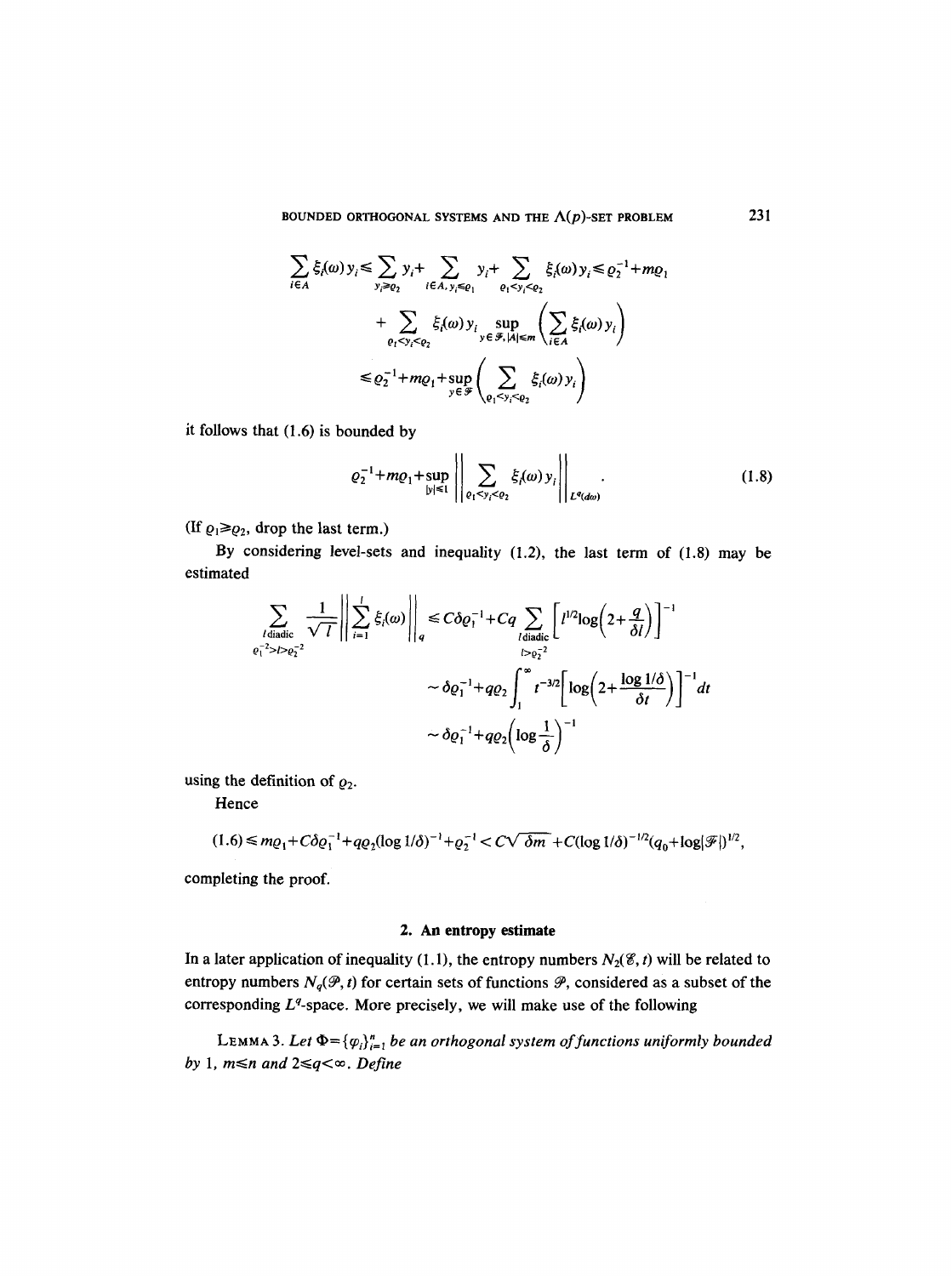BOUNDED ORTHOGONAL SYSTEMS AND THE  $\Lambda(p)$ -SET PROBLEM 231

$$
\sum_{i \in A} \xi_i(\omega) y_i \le \sum_{y_i \ge e_2} y_i + \sum_{i \in A, y_i \le e_1} y_i + \sum_{\varrho_1 < y_i < \varrho_2} \xi_i(\omega) y_i \le \varrho_2^{-1} + m \varrho_1
$$
\n
$$
+ \sum_{\varrho_1 < y_i < \varrho_2} \xi_i(\omega) y_i \sum_{y \in \mathcal{F}, |A| \le m} \left( \sum_{i \in A} \xi_i(\omega) y_i \right)
$$
\n
$$
\le \varrho_2^{-1} + m \varrho_1 + \sup_{y \in \mathcal{F}} \left( \sum_{\varrho_1 < y_i < \varrho_2} \xi_i(\omega) y_i \right)
$$

it follows that (1.6) is bounded by

$$
\varrho_2^{-1} + m\varrho_1 + \sup_{|y| \le 1} \left| \left| \sum_{\varrho_1 < y_i < \varrho_2} \xi_i(\omega) y_i \right| \right|_{L^q(d\omega)} . \tag{1.8}
$$

(If  $\rho_1 \ge \rho_2$ , drop the last term.)

 $\sim 10$ 

By considering level-sets and inequality (1.2), the last term of (1.8) may be estimated

$$
\sum_{l \text{ diadic} \atop e_l^{-2} > l > e_2^{-2}} \frac{1}{\sqrt{l}} \left\| \sum_{i=1}^l \xi_i(\omega) \right\|_q \leq C \delta e_1^{-1} + Cq \sum_{l \text{ diadic} \atop l > e_2^{-2}} \left[ l^{1/2} \log \left( 2 + \frac{q}{\delta l} \right) \right]^{-1} \sim \delta e_1^{-1} + q e_2 \int_1^\infty t^{-3/2} \left[ \log \left( 2 + \frac{\log 1/\delta}{\delta t} \right) \right]^{-1} dt
$$
\n
$$
\sim \delta e_1^{-1} + q e_2 \left( \log \frac{1}{\delta} \right)^{-1}
$$

using the definition of  $\varrho_2$ .

Hence

$$
(1.6) \le m\varrho_1 + C\delta\varrho_1^{-1} + q\varrho_2(\log 1/\delta)^{-1} + \varrho_2^{-1} < C\sqrt{\delta m} + C(\log 1/\delta)^{-1/2}(q_0 + \log |\mathcal{F}|)^{1/2},
$$

completing the proof.

# **2. An entropy estimate**

In a later application of inequality (1.1), the entropy numbers  $N_2(\mathscr{E}, t)$  will be related to entropy numbers  $N_q(\mathcal{P}, t)$  for certain sets of functions  $\mathcal{P}$ , considered as a subset of the corresponding  $L<sup>q</sup>$ -space. More precisely, we will make use of the following

LEMMA 3. Let  $\Phi = {\varphi_i}_{i=1}^n$  *be an orthogonal system of functions uniformly bounded by* 1,  $m \le n$  and  $2 \le q < \infty$ . *Define*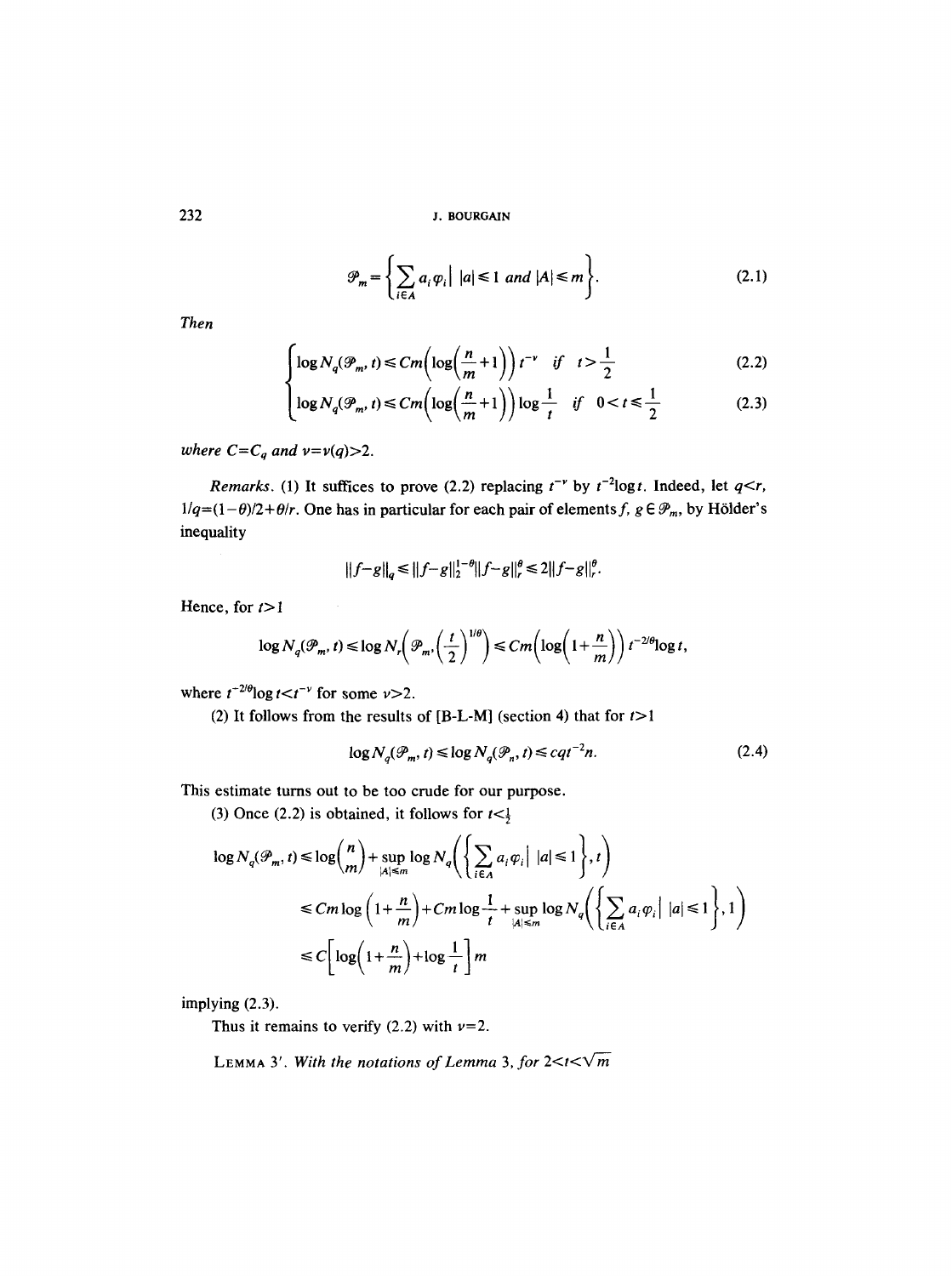$$
\mathcal{P}_m = \left\{ \sum_{i \in A} a_i \varphi_i \middle| \ |a| \le 1 \ and \ |A| \le m \right\}.
$$
 (2.1)

*Then* 

$$
\int \log N_q(\mathcal{P}_m, t) \le C m \left( \log \left( \frac{n}{m} + 1 \right) \right) t^{-\nu} \quad \text{if} \quad t > \frac{1}{2} \tag{2.2}
$$

$$
\left(\log N_q(\mathcal{P}_m, t) \le C m \left(\log\left(\frac{n}{m} + 1\right)\right) \log \frac{1}{t} \quad \text{if} \quad 0 < t \le \frac{1}{2} \tag{2.3}
$$

*where*  $C = C_q$  *and*  $\nu = \nu(q) > 2$ *.* 

*Remarks.* (1) It suffices to prove (2.2) replacing  $t^{-\nu}$  by  $t^{-2}$ logt. Indeed, let  $q < r$ ,  $1/q = (1-\theta)/2 + \theta/r$ . One has in particular for each pair of elements f,  $g \in \mathcal{P}_m$ , by Hölder's inequality

$$
||f-g||_q \le ||f-g||_2^{1-\theta}||f-g||_r^{\theta} \le 2||f-g||_r^{\theta}.
$$

Hence, for  $t>1$ 

$$
\log N_q(\mathcal{P}_m, t) \le \log N_r\left(\mathcal{P}_m, \left(\frac{t}{2}\right)^{1/\theta}\right) \le Cm\left(\log\left(1+\frac{n}{m}\right)\right)t^{-2/\theta}\log t,
$$

where  $t^{-2/\theta} \log t < t^{-\nu}$  for some  $\nu > 2$ .

(2) It follows from the results of [B-L-M] (section 4) that for  $t>1$ 

$$
\log N_q(\mathcal{P}_m, t) \le \log N_q(\mathcal{P}_n, t) \le cqt^{-2}n. \tag{2.4}
$$

This estimate turns out to be too crude for our purpose.

(3) Once (2.2) is obtained, it follows for  $t < \frac{1}{2}$ 

$$
\log N_q(\mathcal{P}_m, t) \le \log \binom{n}{m} + \sup_{|A| \le m} \log N_q \left( \left\{ \sum_{i \in A} a_i \varphi_i \middle| \ |a| \le 1 \right\}, t \right)
$$
  

$$
\le Cm \log \left( 1 + \frac{n}{m} \right) + Cm \log \frac{1}{t} + \sup_{|A| \le m} \log N_q \left( \left\{ \sum_{i \in A} a_i \varphi_i \middle| \ |a| \le 1 \right\}, 1 \right)
$$
  

$$
\le C \left[ \log \left( 1 + \frac{n}{m} \right) + \log \frac{1}{t} \right] m
$$

implying **(2.3).** 

Thus it remains to verify (2.2) with  $\nu=2$ .

LEMMA 3'. With the notations of Lemma 3, for  $2 < t < \sqrt{m}$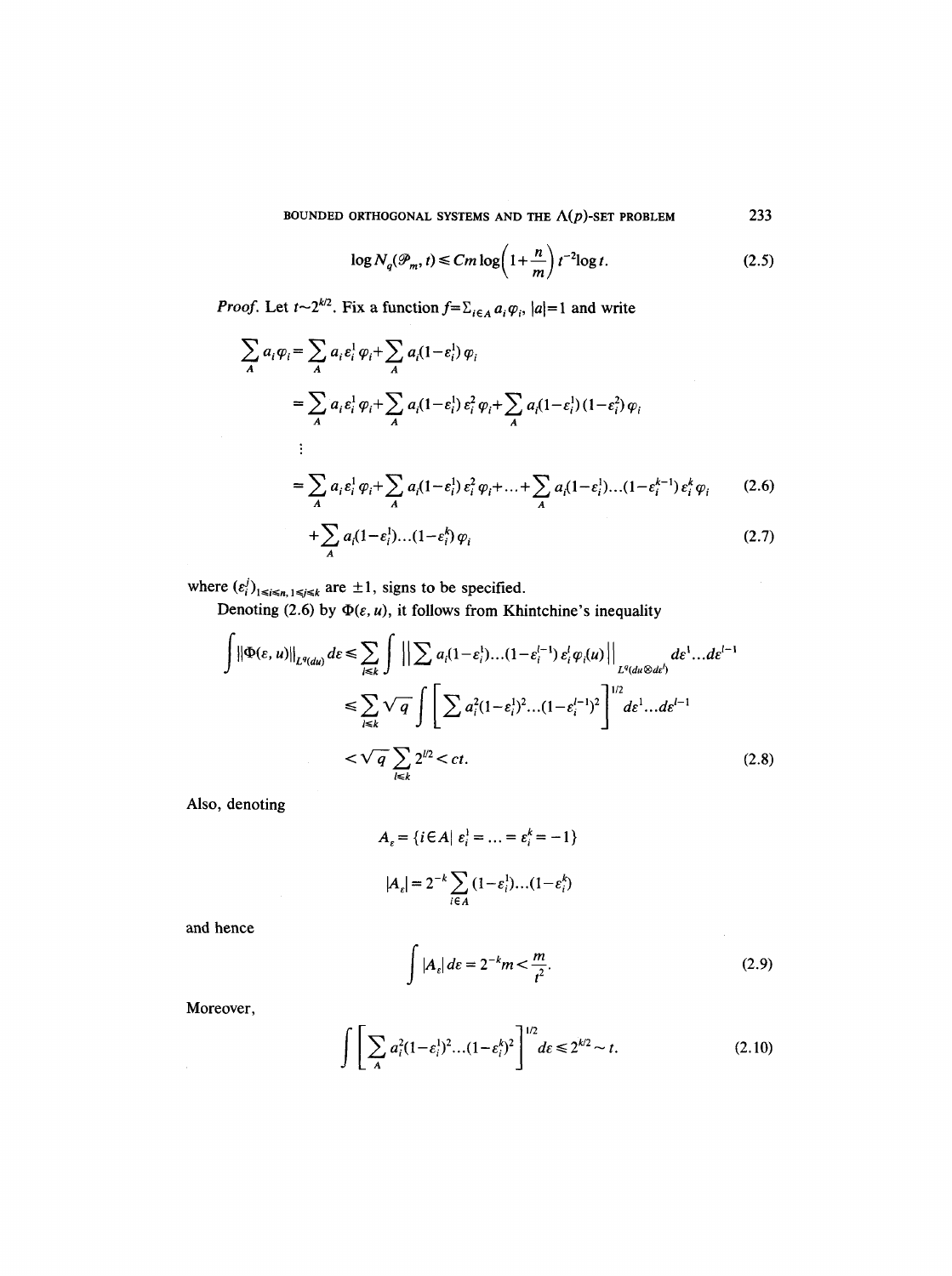BOUNDED ORTHOGONAL SYSTEMS AND THE  $\Lambda(p)$ -SET PROBLEM 233

$$
\log N_q(\mathcal{P}_m, t) \le C m \log \left(1 + \frac{n}{m}\right) t^{-2} \log t. \tag{2.5}
$$

*Proof.* Let  $t \sim 2^{k/2}$ . Fix a function  $f = \sum_{i \in A} a_i \varphi_i$ ,  $|a|=1$  and write

$$
\sum_{A} a_{i} \varphi_{i} = \sum_{A} a_{i} \varepsilon_{i}^{1} \varphi_{i} + \sum_{A} a_{i} (1 - \varepsilon_{i}^{1}) \varphi_{i}
$$
\n
$$
= \sum_{A} a_{i} \varepsilon_{i}^{1} \varphi_{i} + \sum_{A} a_{i} (1 - \varepsilon_{i}^{1}) \varepsilon_{i}^{2} \varphi_{i} + \sum_{A} a_{i} (1 - \varepsilon_{i}^{1}) (1 - \varepsilon_{i}^{2}) \varphi_{i}
$$
\n
$$
\vdots
$$
\n
$$
= \sum_{A} a_{i} \varepsilon_{i}^{1} \varphi_{i} + \sum_{A} a_{i} (1 - \varepsilon_{i}^{1}) \varepsilon_{i}^{2} \varphi_{i} + ... + \sum_{A} a_{i} (1 - \varepsilon_{i}^{1}) ... (1 - \varepsilon_{i}^{k-1}) \varepsilon_{i}^{k} \varphi_{i} \qquad (2.6)
$$
\n
$$
+ \sum_{A} a_{i} (1 - \varepsilon_{i}^{1}) ... (1 - \varepsilon_{i}^{k}) \varphi_{i} \qquad (2.7)
$$

where  $(\varepsilon_i')_{1\leq i\leq n, 1\leq j\leq k}$  are  $\pm 1$ , signs to be specified.

Denoting (2.6) by  $\Phi(\varepsilon, u)$ , it follows from Khintchine's inequality

$$
\int \left\| \Phi(\varepsilon, u) \right\|_{L^{q}(du)} d\varepsilon \leq \sum_{i \leq k} \int \left\| \sum_{\lambda \in \Lambda} a_{i} (1 - \varepsilon_{i}^{1}). \dots (1 - \varepsilon_{i}^{l-1}) \varepsilon_{i}^{l} \varphi_{i}(u) \right\|_{L^{q}(du \otimes dv)} d\varepsilon^{1} \dots d\varepsilon^{l-1}
$$
  

$$
\leq \sum_{i \leq k} \sqrt{q} \int \left[ \sum_{\lambda \in \Lambda} a_{i}^{2} (1 - \varepsilon_{i}^{1})^{2} \dots (1 - \varepsilon_{i}^{l-1})^{2} \right]^{1/2} d\varepsilon^{1} \dots d\varepsilon^{l-1}
$$
  

$$
< \sqrt{q} \sum_{i \leq k} 2^{1/2} < ct. \tag{2.8}
$$

Also, denoting

$$
A_{\varepsilon} = \{ i \in A | \varepsilon_i^1 = \dots = \varepsilon_i^k = -1 \}
$$

$$
|A_{\varepsilon}| = 2^{-k} \sum_{i \in A} (1 - \varepsilon_i^1) \dots (1 - \varepsilon_i^k)
$$

and hence

$$
\int |A_{\varepsilon}| d\varepsilon = 2^{-k} m < \frac{m}{t^2}.\tag{2.9}
$$

Moreover,

$$
\int \left[ \sum_{A} a_i^2 (1 - \varepsilon_i^1)^2 \dots (1 - \varepsilon_i^k)^2 \right]^{1/2} d\varepsilon \le 2^{k/2} \sim t. \tag{2.10}
$$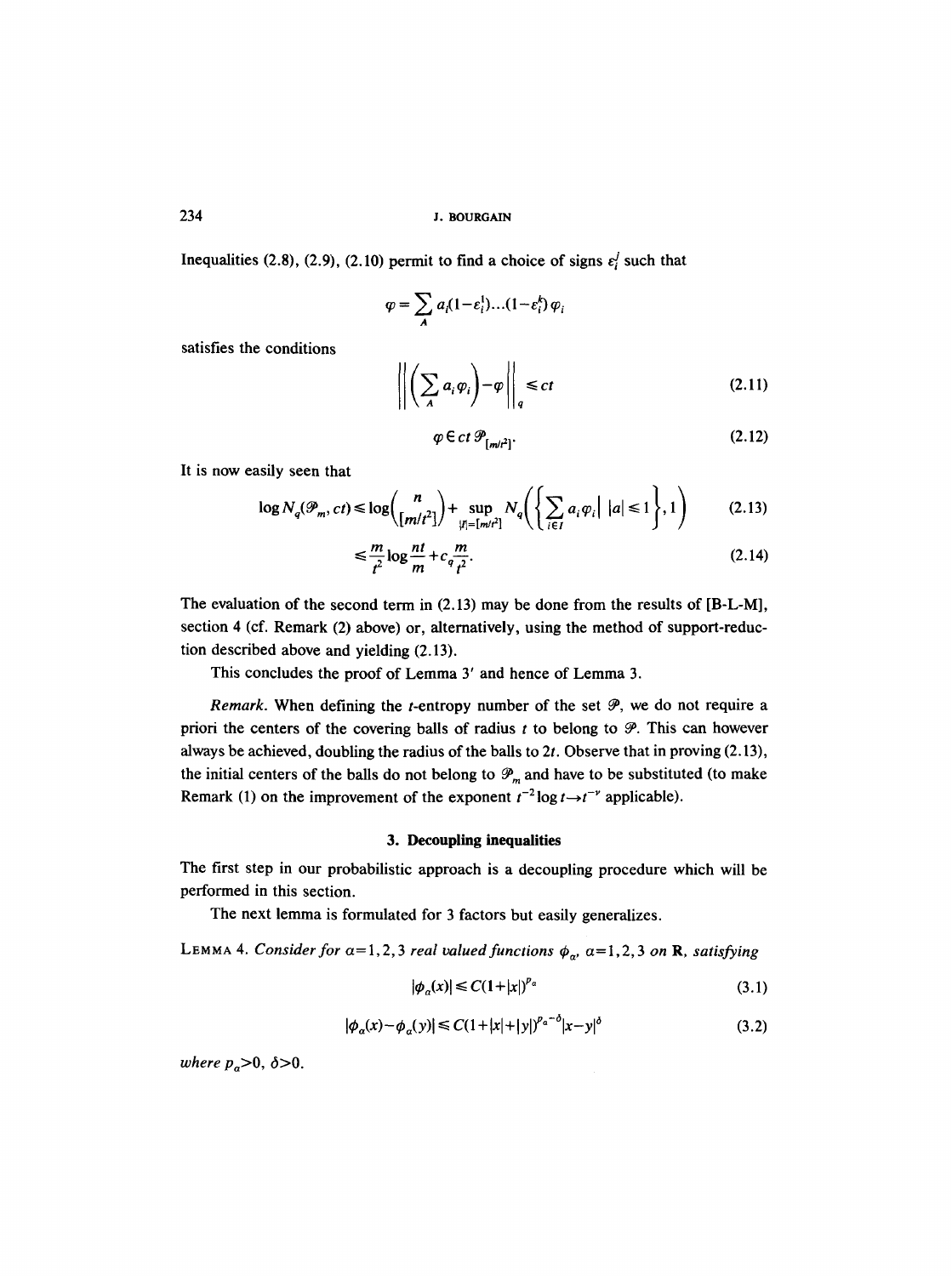Inequalities (2.8), (2.9), (2.10) permit to find a choice of signs  $\varepsilon_i^j$  such that

$$
\varphi = \sum_{A} a_i (1 - \varepsilon_i^1) \dots (1 - \varepsilon_i^k) \varphi_i
$$

satisfies the conditions  

$$
\left\| \left( \sum_{A} a_i \varphi_i \right) - \varphi \right\|_q \le ct \tag{2.11}
$$

$$
\varphi \in ct \, \mathcal{P}_{[m/t^2]}.\tag{2.12}
$$

It is now easily seen that

$$
\log N_q(\mathcal{P}_m, ct) \le \log \binom{n}{[m/t^2]} + \sup_{|I| = [m/t^2]} N_q\left(\left\{\sum_{i \in I} a_i \varphi_i \middle| |a| \le 1\right\}, 1\right) \tag{2.13}
$$

$$
\leq \frac{m}{t^2} \log \frac{nt}{m} + c_q \frac{m}{t^2}.\tag{2.14}
$$

The evaluation of the second term in (2.13) may be done from the results of [B-L-M], section 4 (cf. Remark (2) above) or, alternatively, using the method of support-reduction described above and yielding (2.13).

This concludes the proof of Lemma 3' and hence of Lemma 3.

*Remark.* When defining the *t*-entropy number of the set  $P$ , we do not require a priori the centers of the covering balls of radius  $t$  to belong to  $\mathcal{P}$ . This can however always be achieved, doubling the radius of the balls to  $2t$ . Observe that in proving  $(2.13)$ , the initial centers of the balls do not belong to  $\mathcal{P}_m$  and have to be substituted (to make Remark (1) on the improvement of the exponent  $t^{-2} \log t \rightarrow t^{-\nu}$  applicable).

#### **3. Decoupling inequalities**

The first step in our probabilistic approach is a decoupling procedure which will be performed in this section.

The next lemma is formulated for 3 factors but easily generalizes.

LEMMA 4. *Consider for*  $\alpha = 1, 2, 3$  *real valued functions*  $\phi_{\alpha}$ ,  $\alpha = 1, 2, 3$  *on* **R**, satisfying

$$
|\phi_a(x)| \le C(1+|x|)^{p_a} \tag{3.1}
$$

$$
|\phi_a(x) - \phi_a(y)| \le C(1+|x|+|y|)^{p_a-\delta}|x-y|^\delta
$$
\n(3.2)

*where*  $p_a > 0$ ,  $\delta > 0$ .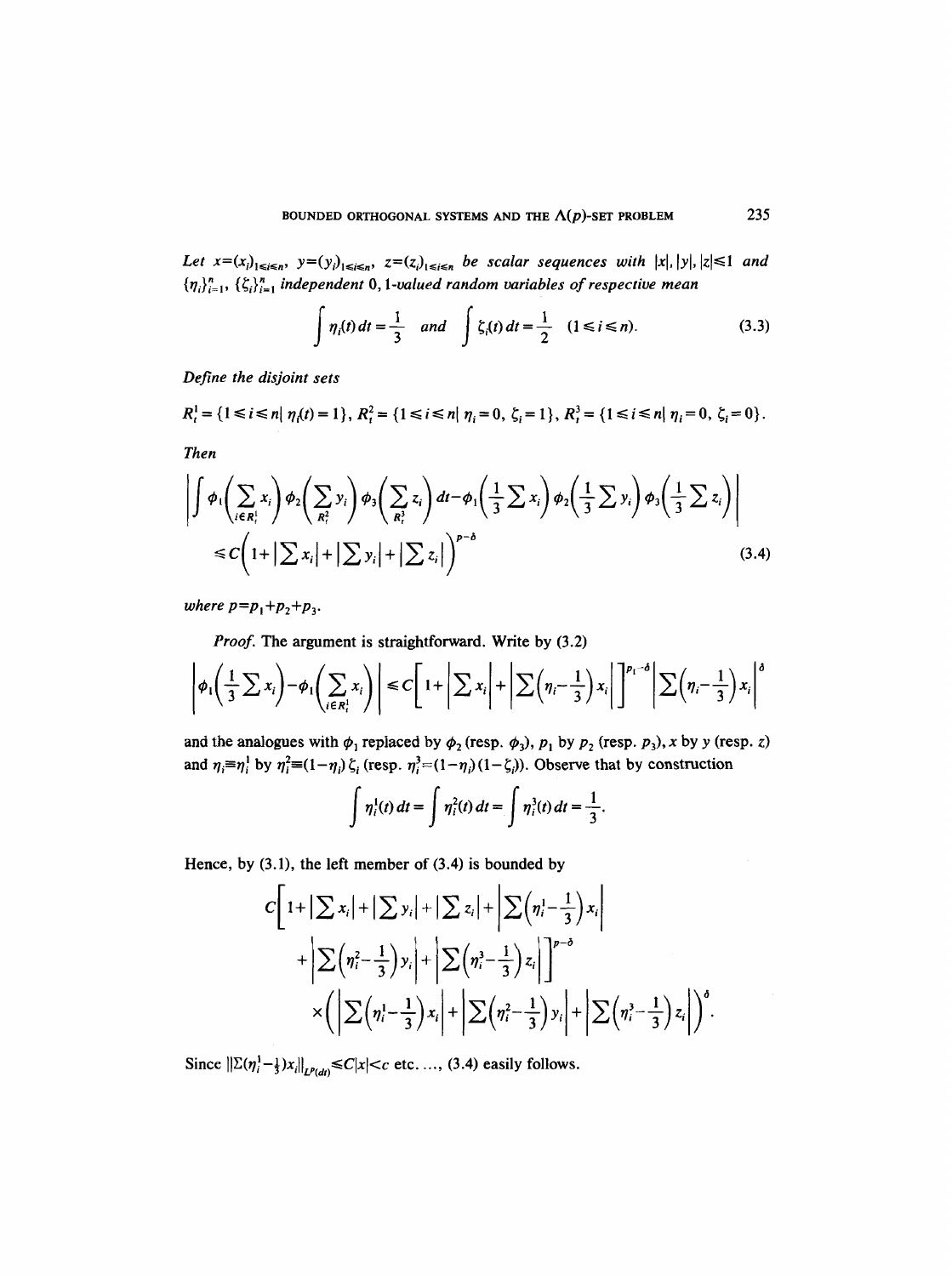*Let*  $x=(x_i)_{1\le i\le n}$ ,  $y=(y_i)_{1\le i\le n}$ ,  $z=(z_i)_{1\le i\le n}$  *be scalar sequences with*  $|x|, |y|, |z|\le 1$  *and*  ${\{\eta_i\}_{i=1}^n, \{\zeta_i\}_{i=1}^n}$  independent 0, 1-valued random variables of respective mean

$$
\int \eta_i(t) \, dt = \frac{1}{3} \quad \text{and} \quad \int \xi_i(t) \, dt = \frac{1}{2} \quad (1 \le i \le n). \tag{3.3}
$$

*Define the disjoint sets* 

$$
R_i^1 = \{1 \le i \le n | \eta_i(t) = 1\}, R_i^2 = \{1 \le i \le n | \eta_i = 0, \zeta_i = 1\}, R_i^3 = \{1 \le i \le n | \eta_i = 0, \zeta_i = 0\}.
$$

*Then* 

$$
\left| \int \phi_i \left( \sum_{i \in R_i^1} x_i \right) \phi_2 \left( \sum_{R_i^2} y_i \right) \phi_3 \left( \sum_{R_i^2} z_i \right) dt - \phi_1 \left( \frac{1}{3} \sum x_i \right) \phi_2 \left( \frac{1}{3} \sum y_i \right) \phi_3 \left( \frac{1}{3} \sum z_i \right) \right|
$$
  

$$
\leq C \left( 1 + \left| \sum x_i \right| + \left| \sum y_i \right| + \left| \sum z_i \right| \right)^{p-\delta} \tag{3.4}
$$

*where*  $p = p_1 + p_2 + p_3$ .

*Proof.* The argument is straightforward. Write by (3.2)

$$
\left|\phi_1\left(\frac{1}{3}\sum x_i\right)-\phi_1\left(\sum_{i\in R_i^1}x_i\right)\right|\leq C\left[1+\left|\sum x_i\right|+\left|\sum\left(\eta_i-\frac{1}{3}\right)x_i\right|\right]^{p_i-\delta}\left|\sum\left(\eta_i-\frac{1}{3}\right)x_i\right|^{\delta}
$$

and the analogues with  $\phi_1$  replaced by  $\phi_2$  (resp.  $\phi_3$ ),  $p_1$  by  $p_2$  (resp.  $p_3$ ), x by y (resp. z) and  $\eta_i \equiv \eta_i^1$  by  $\eta_i^2 = (1-\eta_i)\zeta_i$  (resp.  $\eta_i^3 = (1-\eta_i)(1-\zeta_i)$ ). Observe that by construction

$$
\int \eta_i^1(t) \, dt = \int \eta_i^2(t) \, dt = \int \eta_i^3(t) \, dt = \frac{1}{3}.
$$

Hence, by  $(3.1)$ , the left member of  $(3.4)$  is bounded by

$$
C\left[1+|\sum x_i|+|\sum y_i|+|\sum z_i|+\left|\sum \left(\eta_i^1-\frac{1}{3}\right)x_i\right|+\left|\sum \left(\eta_i^2-\frac{1}{3}\right)y_i\right|+\left|\sum \left(\eta_i^3-\frac{1}{3}\right)z_i\right|\right]^{p-\delta}\times\left(\left|\sum \left(\eta_i^1-\frac{1}{3}\right)x_i\right|+\left|\sum \left(\eta_i^2-\frac{1}{3}\right)y_i\right|+\left|\sum \left(\eta_i^3-\frac{1}{3}\right)z_i\right|\right)^{\delta}.
$$

Since  $||\Sigma(\eta_i^1 - \frac{1}{3})x_i||_{L^p(d)} \le C|x| < c$  etc...., (3.4) easily follows.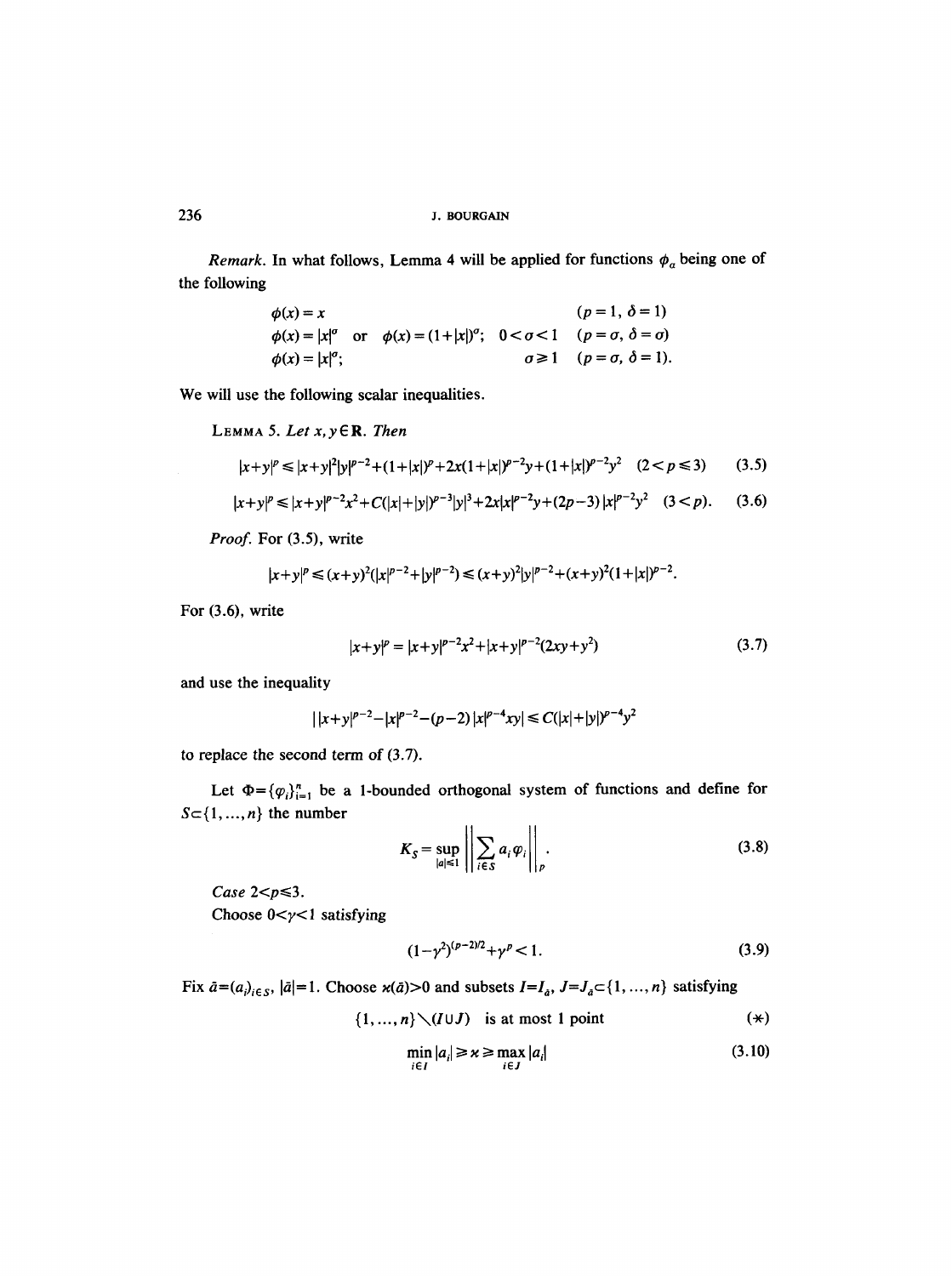*Remark.* In what follows, Lemma 4 will be applied for functions  $\phi_a$  being one of the following

| $\phi(x) = x$             |                                                                                                             | $(p = 1, \delta = 1)$                            |
|---------------------------|-------------------------------------------------------------------------------------------------------------|--------------------------------------------------|
|                           | $\phi(x) =  x ^{\sigma}$ or $\phi(x) = (1+ x )^{\sigma}$ ; $0 < \sigma < 1$ $(p = \sigma, \delta = \sigma)$ |                                                  |
| $\phi(x) =  x ^{\sigma};$ |                                                                                                             | $\sigma \geq 1$ ( $p = \sigma$ , $\delta = 1$ ). |

We will use the following scalar inequalities.

LEMMA 5. Let 
$$
x, y \in \mathbb{R}
$$
. Then  
\n
$$
|x+y|^p \le |x+y|^2 |y|^{p-2} + (1+|x|)^p + 2x(1+|x|)^{p-2}y + (1+|x|)^{p-2}y^2 \quad (2 < p \le 3)
$$
\n(3.5)

$$
|x+y|^p \le |x+y|^{p-2}x^2 + C(|x|+|y|)^{p-3}|y|^3 + 2x|x|^{p-2}y + (2p-3)|x|^{p-2}y^2 \quad (3 < p). \tag{3.6}
$$

*Proof.* For (3.5), write

$$
|x+y|^p \le (x+y)^2(|x|^{p-2}+|y|^{p-2}) \le (x+y)^2|y|^{p-2}+(x+y)^2(1+|x|)^{p-2}.
$$

For (3.6), write

$$
|x+y|^p = |x+y|^{p-2}x^2 + |x+y|^{p-2}(2xy+y^2)
$$
\n(3.7)

and use the inequality

$$
| |x+y|^{p-2} - |x|^{p-2} - (p-2) |x|^{p-4}xy | \leq C(|x|+|y|)^{p-4}y^2
$$

to replace the second term of (3.7).

Let  $\Phi = {\varphi_i}_{i=1}^n$  be a 1-bounded orthogonal system of functions and define for  $S = \{1, ..., n\}$  the number  $\mathbf{H}$  $\ddot{\phantom{0}}$ 

$$
K_S = \sup_{|a| \le 1} \left| \left| \sum_{i \in S} a_i \varphi_i \right| \right|_p.
$$
 (3.8)

 $Case 2 < p \leqslant 3$ .

Choose  $0 < y < 1$  satisfying

$$
(1 - \gamma^2)^{(p-2)/2} + \gamma^p < 1. \tag{3.9}
$$

Fix  $\bar{a}=(a_i)_{i\in S}$ ,  $|\bar{a}|=1$ . Choose  $\varkappa(\bar{a})>0$  and subsets  $I=I_{\bar{a}}$ ,  $J=J_{\bar{a}}\subset\{1,\dots,n\}$  satisfying

$$
\{1, ..., n\} \setminus (I \cup J) \text{ is at most 1 point } (\star)
$$

$$
\min_{i \in I} |a_i| \ge \kappa \ge \max_{i \in J} |a_i| \tag{3.10}
$$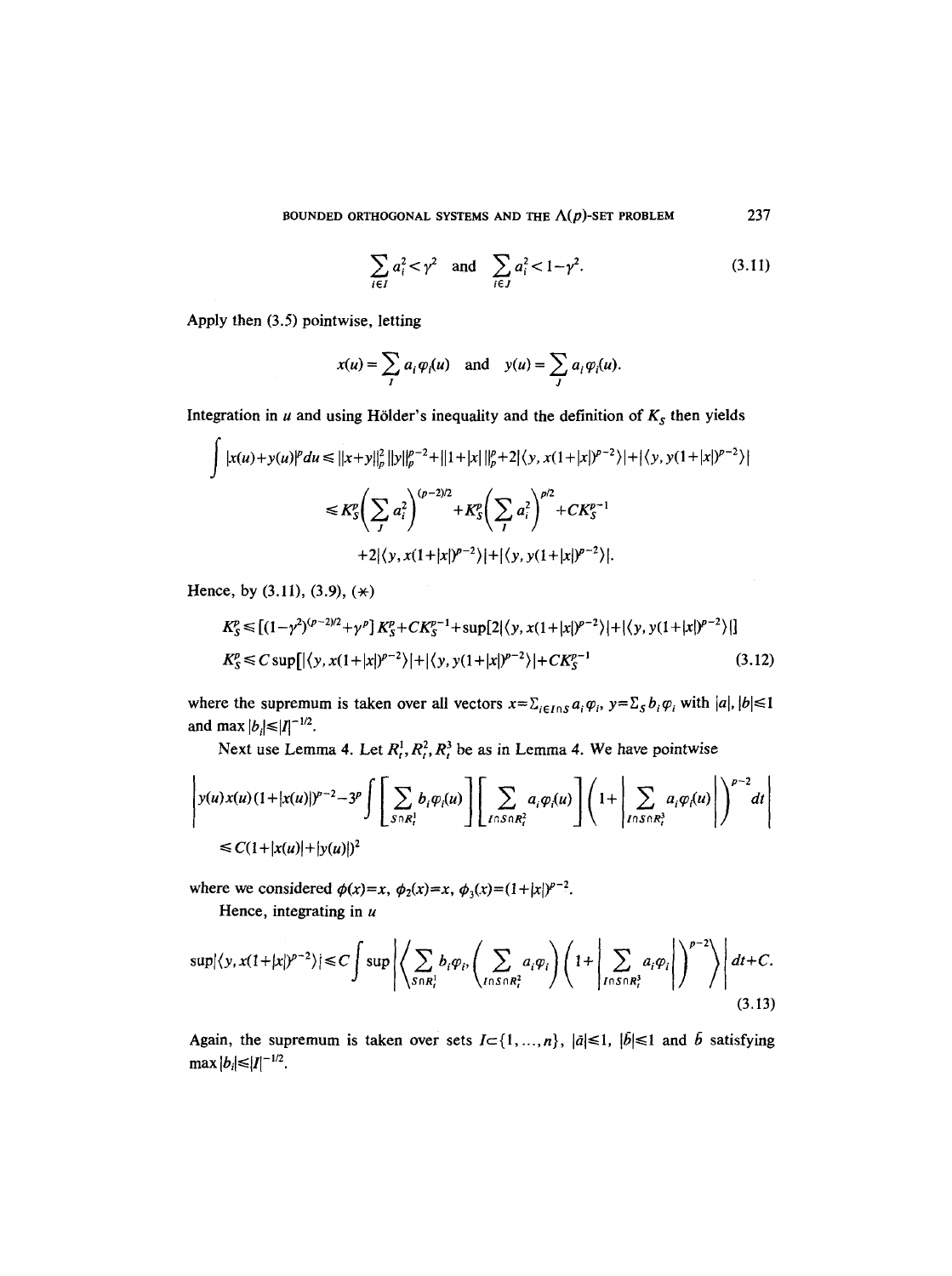$$
\sum_{i \in I} a_i^2 < \gamma^2 \quad \text{and} \quad \sum_{i \in J} a_i^2 < 1 - \gamma^2. \tag{3.11}
$$

Apply then (3.5) pointwise, letting

$$
x(u) = \sum_i a_i \varphi_i(u) \text{ and } y(u) = \sum_j a_i \varphi_i(u).
$$

Integration in  $u$  and using Hölder's inequality and the definition of  $K_s$  then yields

$$
\int |x(u)+y(u)|^p du \le ||x+y||_p^2 ||y||_p^{p-2} + ||1+|x||_p^p + 2|\langle y, x(1+|x|)^{p-2}\rangle| + |\langle y, y(1+|x|)^{p-2}\rangle|
$$
  
\n
$$
\le K_S^p \left(\sum_j a_i^2\right)^{(p-2)/2} + K_S^p \left(\sum_j a_i^2\right)^{p/2} + C K_S^{p-1}
$$
  
\n
$$
+ 2|\langle y, x(1+|x|)^{p-2}\rangle| + |\langle y, y(1+|x|)^{p-2}\rangle|.
$$

Hence, by  $(3.11)$ ,  $(3.9)$ ,  $(*)$ 

 $\mathbf{r}$ 

$$
K_S^p \le [(1 - \gamma^2)^{(p-2)/2} + \gamma^p] K_S^p + C K_S^{p-1} + \sup\{2|\langle y, x(1+|x|)^{p-2}\rangle| + |\langle y, y(1+|x|)^{p-2}\rangle|\}
$$
  
\n
$$
K_S^p \le C \sup\{|\langle y, x(1+|x|)^{p-2}\rangle| + |\langle y, y(1+|x|)^{p-2}\rangle| + C K_S^{p-1}
$$
\n(3.12)

where the supremum is taken over all vectors  $x = \sum_{i \in I \cap S} a_i \varphi_i$ ,  $y = \sum_S b_i \varphi_i$  with  $|a|, |b| \leq 1$ and max  $|b_i| \leq |I|^{-1/2}$ .

Next use Lemma 4. Let  $R_t^1, R_t^2, R_t^3$  be as in Lemma 4. We have pointwise

$$
\left| y(u)x(u)(1+|x(u)|)^{p-2}-3^p\int\left[\sum_{S\cap R_i^1}b_i\varphi_i(u)\right]\left[\sum_{I\cap S\cap R_i^2}a_i\varphi_i(u)\right]\left(1+\left|\sum_{I\cap S\cap R_i^3}a_i\varphi_i(u)\right|\right)^{p-2}dt\right|
$$
  
\n
$$
\leq C(1+|x(u)|+|y(u)|)^2
$$

where we considered  $\phi(x)=x$ ,  $\phi_2(x)=x$ ,  $\phi_3(x)=(1+|x|)^{p-2}$ .

Hence, integrating in  $u$ 

$$
\sup |\langle y, x(1+|x|)^{p-2} \rangle| \le C \int \sup \left| \left\langle \sum_{S \cap R_i^1} b_i \varphi_i, \left( \sum_{I \cap S \cap R_i^2} a_i \varphi_i \right) \left( 1 + \left| \sum_{I \cap S \cap R_i^3} a_i \varphi_i \right| \right)^{p-2} \right\rangle \right| dt + C. \tag{3.13}
$$

Again, the supremum is taken over sets  $I \subset \{1, ..., n\}$ ,  $|\tilde{a}| \le 1$ ,  $|\tilde{b}| \le 1$  and  $\tilde{b}$  satisfying  $\max |b_i| \leq |I|^{-1/2}.$ 

237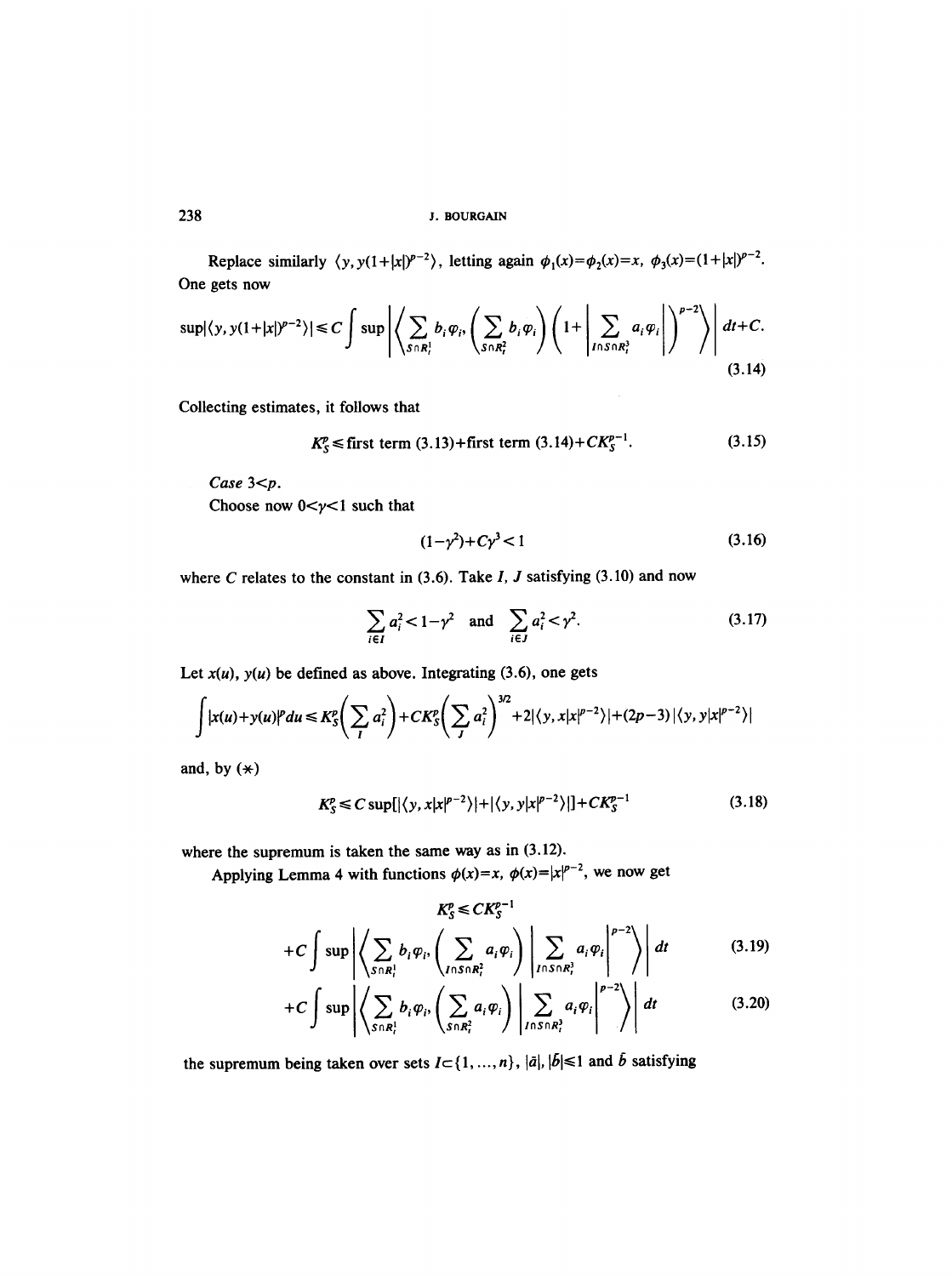Replace similarly  $\langle y, y(1+|x|)^{p-2} \rangle$ , letting again  $\phi_1(x) = \phi_2(x) = x$ ,  $\phi_3(x) = (1+|x|)^{p-2}$ . One gets now

$$
\sup |\langle y, y(1+|x|)^{p-2}\rangle| \leq C \int \sup \left| \left\langle \sum_{S \cap R_i^1} b_i \varphi_i, \left(\sum_{S \cap R_i^2} b_i \varphi_i\right) \left(1+ \left| \sum_{I \cap S \cap R_i^2} a_i \varphi_i \right| \right)^{p-2} \right\rangle \right| dt + C.
$$
\n(3.14)

Collecting estimates, it follows that

$$
K_S^p \le
$$
 first term (3.13)+first term (3.14)+ $CK_S^{p-1}$ . (3.15)

*Case* 3<p.

Choose now  $0 < y < 1$  such that

$$
(1 - \gamma^2) + C\gamma^3 < 1 \tag{3.16}
$$

where C relates to the constant in  $(3.6)$ . Take I, J satisfying  $(3.10)$  and now

$$
\sum_{i \in I} a_i^2 < 1 - \gamma^2 \quad \text{and} \quad \sum_{i \in J} a_i^2 < \gamma^2. \tag{3.17}
$$

Let  $x(u)$ ,  $y(u)$  be defined as above. Integrating (3.6), one gets

$$
\int |x(u)+y(u)|^p du \leq K_S^p \left( \sum_i a_i^2 \right) + C K_S^p \left( \sum_j a_i^2 \right)^{3/2} + 2 |\langle y, x | x |^{p-2} \rangle| + (2p-3) |\langle y, y | x |^{p-2} \rangle|
$$

and, by  $(*)$ 

$$
K_S^p \le C \sup\{|\langle y, x | x |^{p-2}\rangle| + |\langle y, y | x |^{p-2}\rangle|\} + C K_S^{p-1}
$$
\n(3.18)

where the supremum is taken the same way as in (3.12).

Applying Lemma 4 with functions  $\phi(x)=x$ ,  $\phi(x)=|x|^{p-2}$ , we now get

$$
K_{S}^{p} \leq C K_{S}^{p-1}
$$
  
+
$$
C \int \sup \left| \left\langle \sum_{S \cap R_{i}^{1}} b_{i} \varphi_{i}, \left( \sum_{I \cap S \cap R_{i}^{2}} a_{i} \varphi_{i} \right) \middle| \sum_{I \cap S \cap R_{i}^{3}} a_{i} \varphi_{i} \right|^{p-2} \right\rangle dt
$$
(3.19)

$$
+C\int \sup \left| \left\langle \sum_{S\cap R_i^1} b_i \varphi_i, \left( \sum_{S\cap R_i^2} a_i \varphi_i \right) \left| \sum_{I\cap S\cap R_i^3} a_i \varphi_i \right|^{p-2} \right\rangle \right| dt \qquad (3.20)
$$

the supremum being taken over sets  $I \subset \{ 1, ..., n \}$ ,  $|\bar{a}|, |\bar{b}| \leq 1$  and  $\bar{b}$  satisfying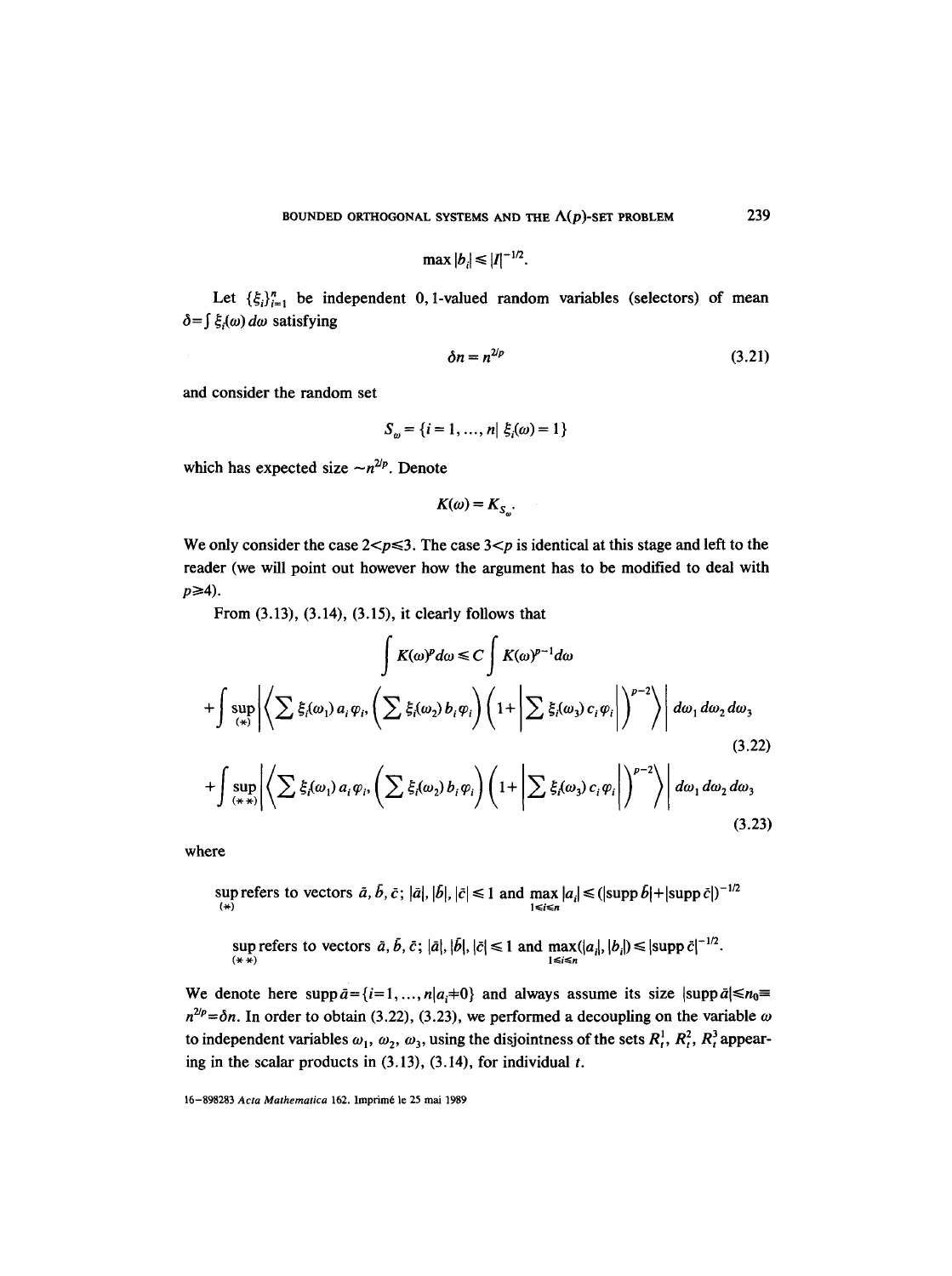$$
\max|b_i|\leq |I|^{-1/2}
$$

Let  $\{\xi_i\}_{i=1}^n$  be independent 0, 1-valued random variables (selectors) of mean  $\delta = \int \xi_i(\omega) d\omega$  satisfying

$$
\delta n = n^{2/p} \tag{3.21}
$$

and consider the random set

$$
S_{\omega} = \{i = 1, ..., n | \xi_i(\omega) = 1\}
$$

which has expected size  $-n^{2/p}$ . Denote

$$
K(\omega)=K_{S_{\omega}}.
$$

We only consider the case  $2 < p \le 3$ . The case  $3 < p$  is identical at this stage and left to the reader (we will point out however how the argument has to be modified to deal with  $p \geq 4$ ).

From (3.13), (3.14), (3.15), it clearly follows that

$$
\int K(\omega)^p d\omega \le C \int K(\omega)^{p-1} d\omega
$$
  
+ 
$$
\int \sup_{(\ast)} \left| \left\langle \sum \xi_i(\omega_1) a_i \varphi_i, \left( \sum \xi_i(\omega_2) b_i \varphi_i \right) \left( 1 + \left| \sum \xi_i(\omega_3) c_i \varphi_i \right| \right)^{p-2} \right\rangle \right| d\omega_1 d\omega_2 d\omega_3
$$
  
+ 
$$
\int \sup_{(\ast \ast)} \left| \left\langle \sum \xi_i(\omega_1) a_i \varphi_i, \left( \sum \xi_i(\omega_2) b_i \varphi_i \right) \left( 1 + \left| \sum \xi_i(\omega_3) c_i \varphi_i \right| \right)^{p-2} \right\rangle \right| d\omega_1 d\omega_2 d\omega_3
$$
(3.23)

where

sup refers to vectors 
$$
\bar{a}
$$
,  $\bar{b}$ ,  $\bar{c}$ ;  $|\bar{a}|$ ,  $|\bar{b}|$ ,  $|\bar{c}| \le 1$  and  $\max_{1 \le i \le n} |a_i| \le (\text{supp } \bar{b}| + |\text{supp } \bar{c}|)^{-1/2}$ 

sup refers to vectors  $\bar{a}, b, \bar{c}$ ;  $|\bar{a}|, |b|, |\bar{c}| \leq 1$  and  $\max(|a_i|, |b_i|) \leq |\sup_{1 \leq i \leq n} \bar{c}|^{-n/2}$ .

We denote here  $\text{supp}\,\bar{a}=\{i=1, ..., n|a_i=0\}$  and always assume its size  $|\text{supp}\,\bar{a}| \le n_0=$  $n^{2/p} = \delta n$ . In order to obtain (3.22), (3.23), we performed a decoupling on the variable  $\omega$ to independent variables  $\omega_1$ ,  $\omega_2$ ,  $\omega_3$ , using the disjointness of the sets  $R_t^1$ ,  $R_t^2$ ,  $R_t^3$  appearing in the scalar products in  $(3.13)$ ,  $(3.14)$ , for individual t.

16-898283 *Acta Mathematica* 162. Imprim6 le 25 mai 1989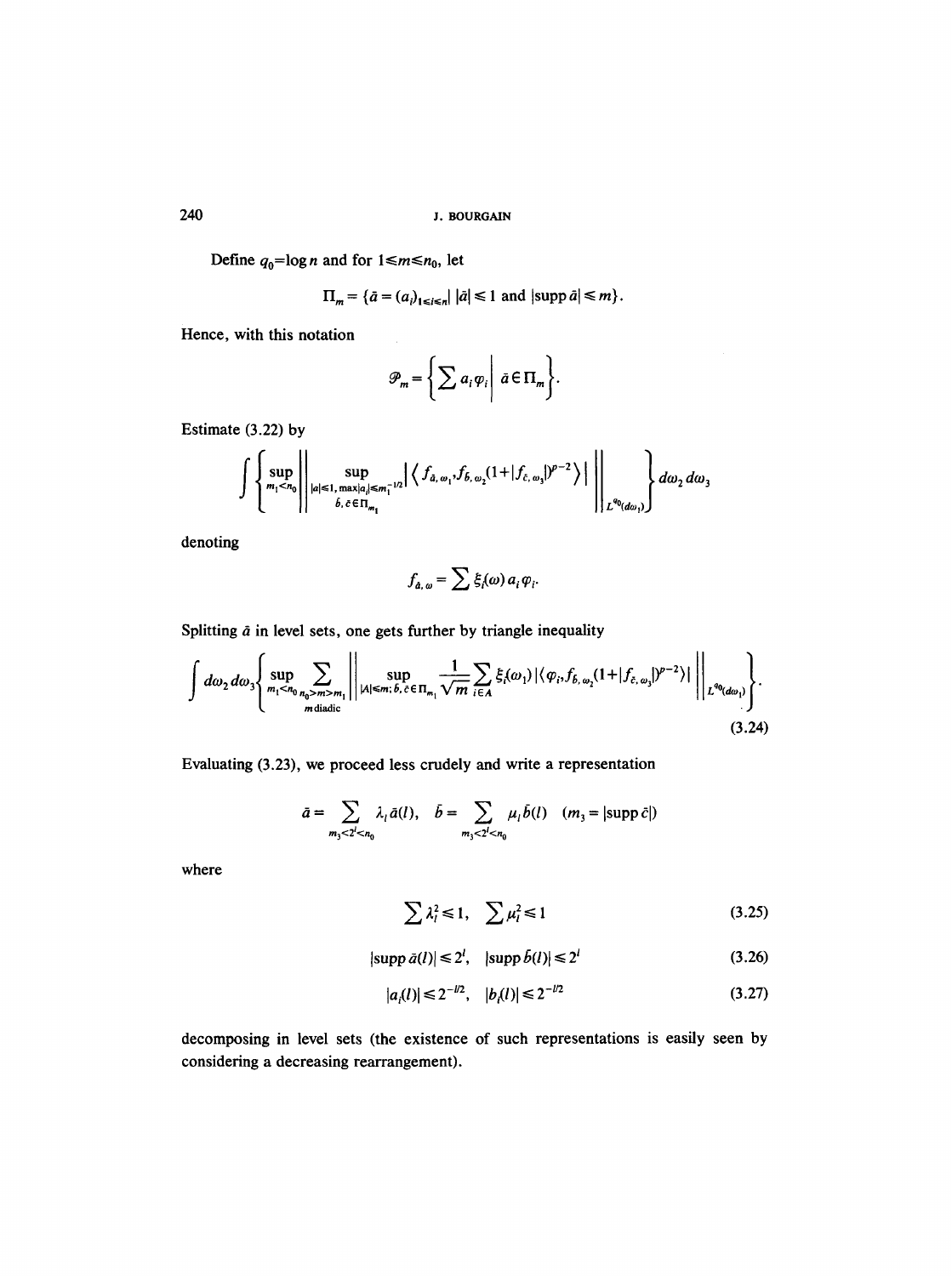Define  $q_0 = \log n$  and for  $1 \le m \le n_0$ , let

$$
\Pi_m = \{\bar{a} = (a_i)_{1 \le i \le n} | \bar{a} | \le 1 \text{ and } |\text{supp } \bar{a}| \le m \}.
$$

Hence, with this notation

$$
\mathcal{P}_m = \left\{ \sum a_i \varphi_i \middle| \ \bar{a} \in \Pi_m \right\}.
$$

Estimate (3.22) by

$$
\int \left\{\sup_{m_1 < n_0} \left| \sup_{|a| \leq 1, \max_{|a| \leq m_1^{-1/2}}} \left| \left\langle f_{\hat{a}, \omega_1}, f_{\hat{b}, \omega_2} (1 + | f_{\hat{c}, \omega_3} |)^{p-2} \right\rangle \right| \right|_{L^{q_0}(d\omega_1)} \right\} d\omega_2 d\omega_3
$$

denoting

$$
f_{a,\,\omega}=\sum \xi_i(\omega)\,a_i\,\varphi_i.
$$

Splitting  $\tilde{a}$  in level sets, one gets further by triangle inequality

 $\bar{\mathcal{A}}$ 

$$
\int d\omega_2 d\omega_3 \Biggl\{ \sup_{m_1 \le n_0} \sum_{n_0 > m > m_1} \Biggl\| \sup_{|A| \le m; \, \delta, \, \tilde{c} \in \Pi_{m_1}} \frac{1}{\sqrt{m}} \sum_{i \in A} \xi_i(\omega_1) \left| \langle \varphi_i, f_{\delta, \omega_2}(1 + |f_{\tilde{c}, \omega_3}|)^{p-2} \rangle \right| \Biggr\|_{L^{q_0}(d\omega_1)} \Biggr\} .
$$
\n(3.24)

Evaluating (3.23), we proceed less crudely and write a representation

$$
\bar{a} = \sum_{m_3 < 2^l < n_0} \lambda_l \bar{a}(l), \quad \bar{b} = \sum_{m_3 < 2^l < n_0} \mu_l \bar{b}(l) \quad (m_3 = |\text{supp } \bar{c}|)
$$

where

$$
\sum \lambda_i^2 \le 1, \quad \sum \mu_i^2 \le 1 \tag{3.25}
$$

$$
|\text{supp }\bar{a}(l)| \leq 2^l, \quad |\text{supp }\bar{b}(l)| \leq 2^l \tag{3.26}
$$

$$
|a_i(l)| \le 2^{-l/2}, \quad |b_i(l)| \le 2^{-l/2} \tag{3.27}
$$

decomposing in level sets (the existence of such representations is easily seen by considering a decreasing rearrangement).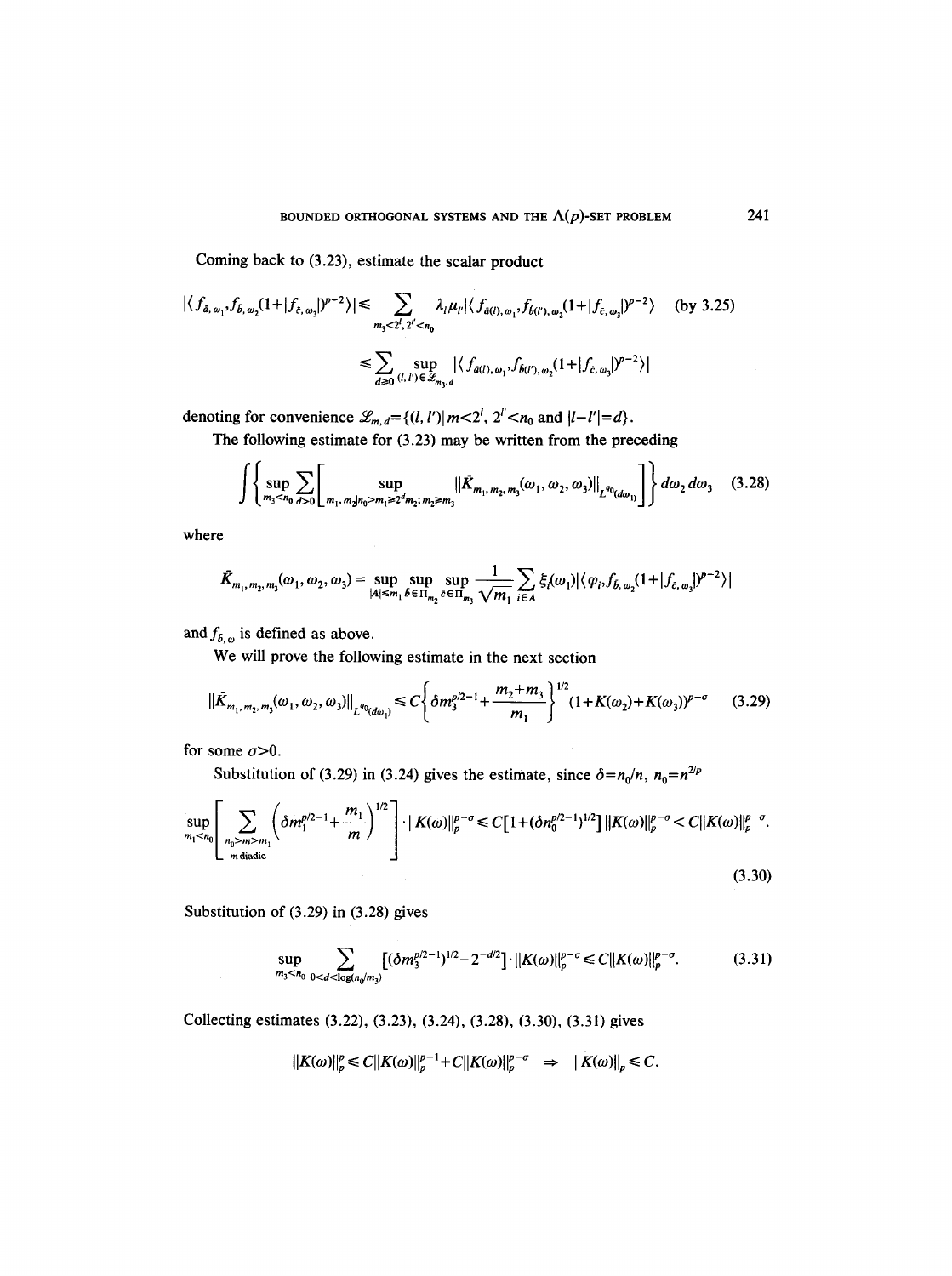Coming back to (3.23), estimate the scalar product

$$
|\langle f_{\tilde{a}, \omega_1}, f_{\tilde{b}, \omega_2}(1+|f_{\tilde{c}, \omega_3}|)^{p-2}\rangle| \leq \sum_{m_3 < 2^l, 2^{l'} < n_0} \lambda_l \mu_l |\langle f_{\tilde{a}(l), \omega_1}, f_{\tilde{b}(l'), \omega_2}(1+|f_{\tilde{c}, \omega_3}|)^{p-2}\rangle| \quad \text{(by 3.25)}
$$
\n
$$
\leq \sum_{d \geq 0} \sup_{(l, l') \in \mathscr{L}_{m_3, d}} |\langle f_{\tilde{a}(l), \omega_1}, f_{\tilde{b}(l'), \omega_2}(1+|f_{\tilde{c}, \omega_3}|)^{p-2}\rangle|
$$

denoting for convenience  $\mathcal{L}_{m,d} = \{(l, l') | m < 2^l, 2^{l'} < n_0 \text{ and } |l-l'| = d\}.$ 

The following estimate for (3.23) may be written from the preceding

$$
\int \left\{ \sup_{m_3 < n_0} \sum_{d > 0} \left[ \sup_{m_1, m_2 \mid n_0 > m_1 \geq 2^d m_2; \, m_2 \geq m_3} \left\| \bar{K}_{m_1, m_2, m_3}(\omega_1, \omega_2, \omega_3) \right\|_{L^{q_0}(d\omega_1)} \right] \right\} d\omega_2 d\omega_3 \tag{3.28}
$$

where

$$
\bar{K}_{m_1, m_2, m_3}(\omega_1, \omega_2, \omega_3) = \sup_{|A| \le m_1} \sup_{\delta \in \Pi_{m_2}} \sup_{c \in \Pi_{m_3}} \frac{1}{\sqrt{m_1}} \sum_{i \in A} \xi_i(\omega_1) |\langle \varphi_i, f_{\delta, \omega_2}(1 + | f_{\delta, \omega_3}|)^{p-2} \rangle|
$$

and  $f_{b,\omega}$  is defined as above.

We will prove the following estimate in the next section

$$
\|\tilde{K}_{m_1,m_2,m_3}(\omega_1,\omega_2,\omega_3)\|_{L^{q_0}(d\omega_1)} \le C \left\{ \delta m_3^{p/2-1} + \frac{m_2+m_3}{m_1} \right\}^{1/2} (1+K(\omega_2)+K(\omega_3))^{p-\sigma} \tag{3.29}
$$

for some  $\sigma > 0$ .

Substitution of (3.29) in (3.24) gives the estimate, since  $\delta = n_0/n$ ,  $n_0 = n^{2/p}$ 

$$
\sup_{m_1 < n_0} \left[ \sum_{\substack{n_0 > m > m_1 \\ m \text{ diadic}}} \left( \delta m_1^{p/2 - 1} + \frac{m_1}{m} \right)^{1/2} \right] \cdot \left\| K(\omega) \right\|_p^{p - \sigma} \le C \left[ 1 + (\delta n_0^{p/2 - 1})^{1/2} \right] \left\| K(\omega) \right\|_p^{p - \sigma} < C \left\| K(\omega) \right\|_p^{p - \sigma} . \tag{3.30}
$$

Substitution of (3.29) in (3.28) gives

$$
\sup_{m_3 < n_0} \sum_{0 < d < \log(n_0/m_3)} \left[ (\delta m_3^{p/2 - 1})^{1/2} + 2^{-d/2} \right] \cdot ||K(\omega)||_p^{p - \sigma} \le C ||K(\omega)||_p^{p - \sigma}.\tag{3.31}
$$

Collecting estimates (3.22), (3.23), (3.24), (3.28), (3.30), (3.31) gives

$$
||K(\omega)||_p^p \leq C||K(\omega)||_p^{p-1} + C||K(\omega)||_p^{p-\sigma} \Rightarrow ||K(\omega)||_p \leq C.
$$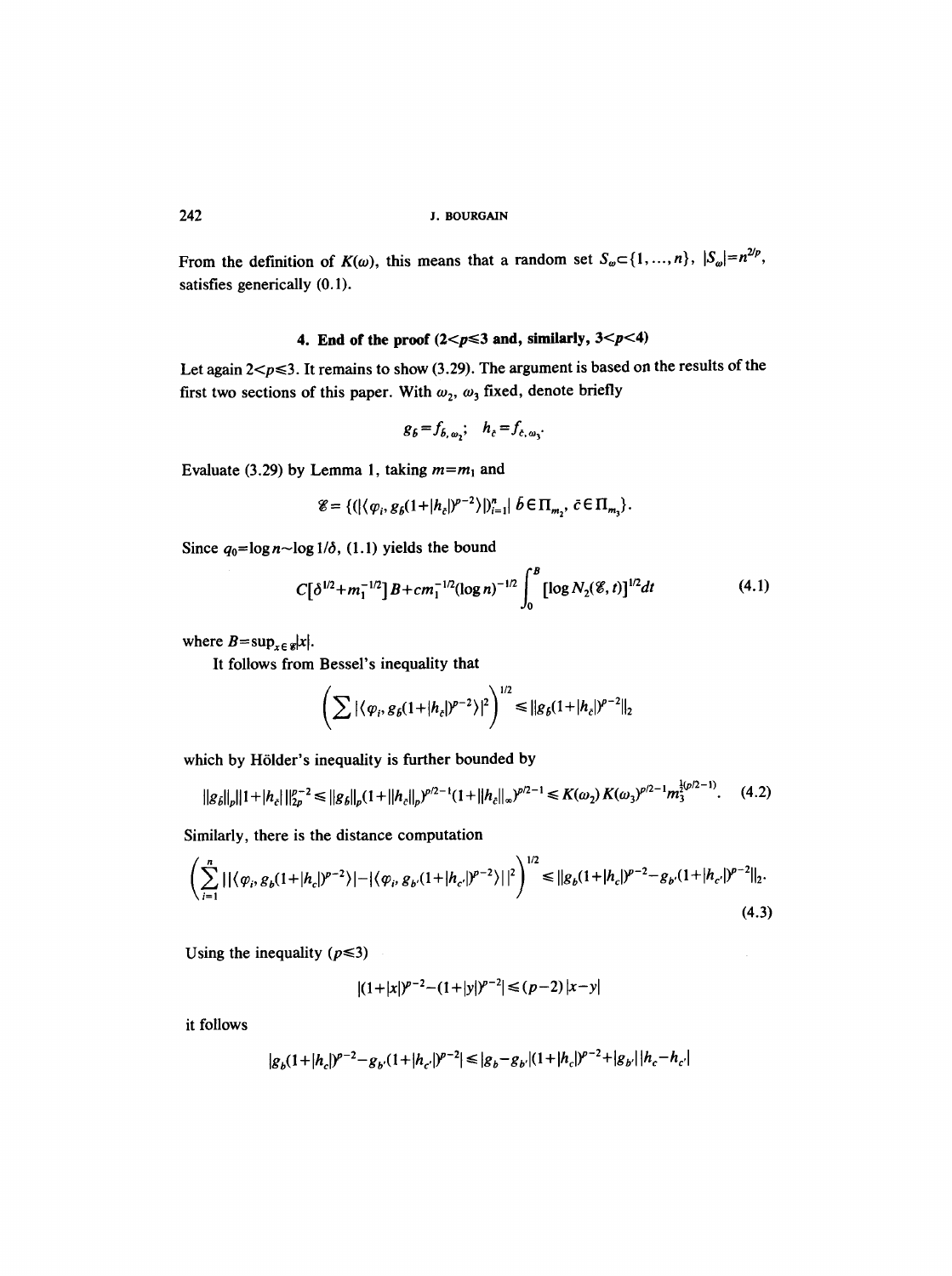From the definition of  $K(\omega)$ , this means that a random set  $S_{\omega} \subset \{1, ..., n\}$ ,  $|S_{\omega}| = n^{\omega \nu}$ , satisfies generically (0.1).

# 4. End of the proof  $(2 < p \le 3$  and, similarly,  $3 < p < 4$ )

Let again  $2 < p \le 3$ . It remains to show (3.29). The argument is based on the results of the first two sections of this paper. With  $\omega_2$ ,  $\omega_3$  fixed, denote briefly

$$
g_{b}=f_{b,\omega_{2}};\quad h_{c}=f_{c,\omega_{3}}.
$$

Evaluate (3.29) by Lemma 1, taking  $m = m<sub>1</sub>$  and

$$
\mathscr{E} = \{ (|\langle \varphi_i, g_{\delta}(1+|h_{\tilde{c}}|)^{p-2} \rangle |)_{i=1}^n | \delta \in \Pi_{m_2}, \ \bar{c} \in \Pi_{m_3} \}.
$$

Since  $q_0 = \log n - \log 1/\delta$ , (1.1) yields the bound

$$
C[\delta^{1/2} + m_1^{-1/2}]B + cm_1^{-1/2}(\log n)^{-1/2} \int_0^B [\log N_2(\mathcal{E}, t)]^{1/2} dt \qquad (4.1)
$$

where  $B = \sup_{x \in \mathcal{C}} |x|$ .

It follows from Bessel's inequality that

$$
\left(\sum |\langle \varphi_i, g_{\delta}(1+|h_c|)^{p-2}\rangle|^2\right)^{1/2} \leq ||g_{\delta}(1+|h_c|)^{p-2}||_2
$$

which by Hölder's inequality is further bounded by

$$
||g_{\delta}||_{p}||1+|h_{\varepsilon}||_{2p}^{p-2} \leq ||g_{\delta}||_{p}(1+||h_{\varepsilon}||_{p})^{p/2-1}(1+||h_{\varepsilon}||_{\infty})^{p/2-1} \leq K(\omega_{2})K(\omega_{3})^{p/2-1}m_{3}^{\frac{1}{2}(p/2-1)}.
$$
 (4.2)

Similarly, there is the distance computation

$$
\left(\sum_{i=1}^{n}||\langle\varphi_{i},g_{b}(1+|h_{c}|)^{p-2}\rangle|-|\langle\varphi_{i},g_{b}(1+|h_{c}|)^{p-2}\rangle||^{2}\right)^{1/2} \leq ||g_{b}(1+|h_{c}|)^{p-2}-g_{b}(1+|h_{c}|)^{p-2}||_{2}.
$$
\n(4.3)

Using the inequality ( $p \le 3$ )

$$
|(1+|x|)^{p-2}-(1+|y|)^{p-2}| \le (p-2)|x-y|
$$

it follows

$$
|g_b(1+|h_c|)^{p-2} - g_{b'}(1+|h_{c'}|)^{p-2}| \le |g_b - g_{b'}|(1+|h_c|)^{p-2} + |g_{b'}||h_c - h_{c'}|
$$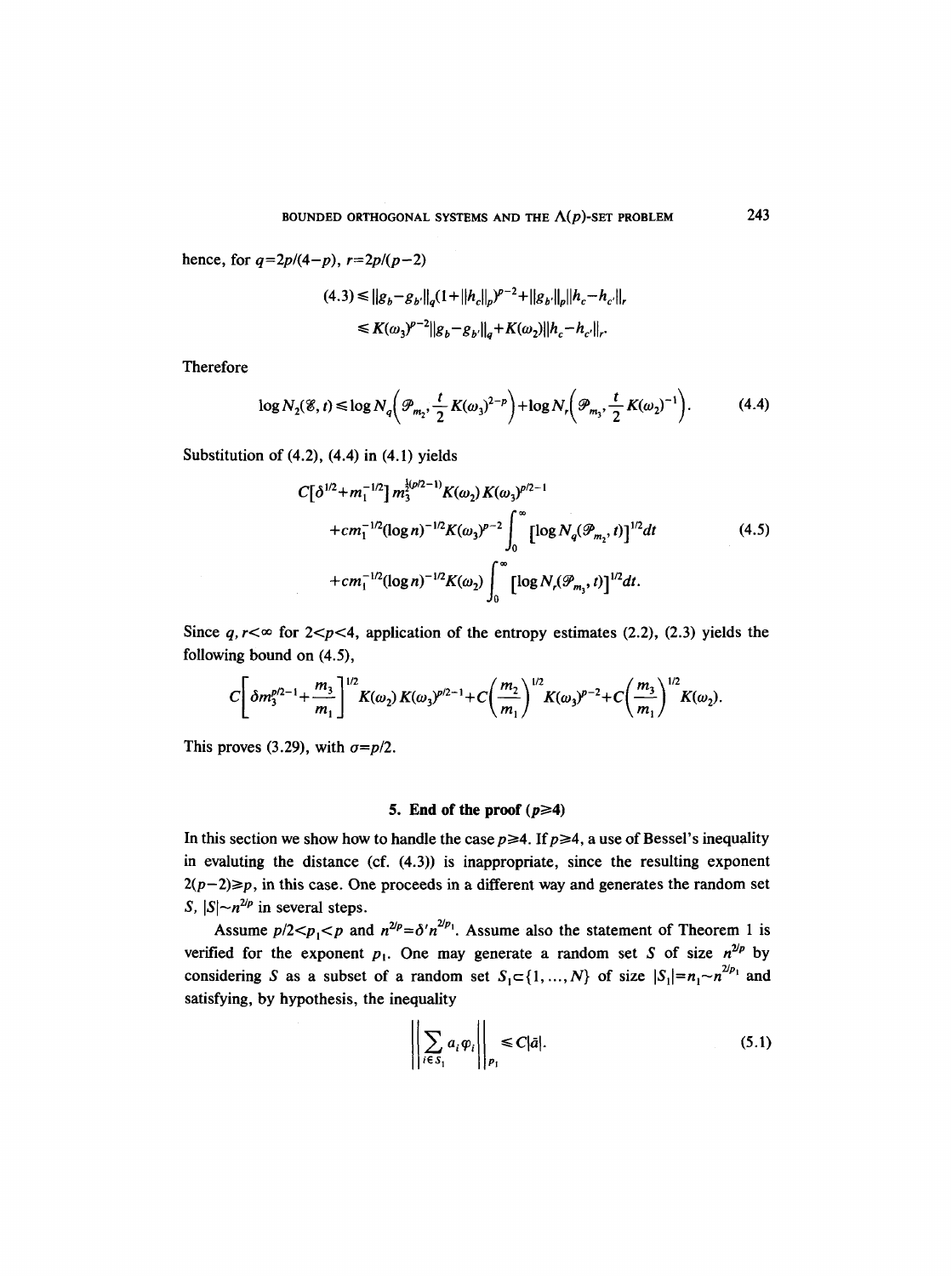hence, for  $q=2p/(4-p)$ ,  $r=2p/(p-2)$ 

$$
(4.3) \le ||g_b - g_{b'}||_q (1 + ||h_c||_p)^{p-2} + ||g_{b'}||_p ||h_c - h_{c'}||_q
$$
  

$$
\le K(\omega_3)^{p-2} ||g_b - g_{b'}||_q + K(\omega_2) ||h_c - h_{c'}||_r.
$$

Therefore

$$
\log N_2(\mathscr{E}, t) \le \log N_q\bigg(\mathscr{P}_{m_2}, \frac{t}{2} K(\omega_3)^{2-p}\bigg) + \log N_r\bigg(\mathscr{P}_{m_3}, \frac{t}{2} K(\omega_2)^{-1}\bigg). \tag{4.4}
$$

Substitution of  $(4.2)$ ,  $(4.4)$  in  $(4.1)$  yields

$$
C[\delta^{1/2} + m_1^{-1/2}] m_3^{\frac{1}{2}(p/2-1)} K(\omega_2) K(\omega_3)^{p/2-1}
$$
  
+
$$
cm_1^{-1/2} (\log n)^{-1/2} K(\omega_3)^{p-2} \int_0^\infty [\log N_q(\mathcal{P}_{m_2}, t)]^{1/2} dt
$$
  
+
$$
cm_1^{-1/2} (\log n)^{-1/2} K(\omega_2) \int_0^\infty [\log N_r(\mathcal{P}_{m_3}, t)]^{1/2} dt.
$$
 (4.5)

Since  $q, r \leq \infty$  for 2<p <4, application of the entropy estimates (2.2), (2.3) yields the following bound on (4.5),

$$
C\bigg[\delta m_3^{p/2-1}+\frac{m_3}{m_1}\bigg]^{1/2}K(\omega_2)K(\omega_3)^{p/2-1}+C\bigg(\frac{m_2}{m_1}\bigg)^{1/2}K(\omega_3)^{p-2}+C\bigg(\frac{m_3}{m_1}\bigg)^{1/2}K(\omega_2).
$$

This proves (3.29), with  $\sigma = p/2$ .

### 5. End of the proof  $(p \ge 4)$

In this section we show how to handle the case  $p \ge 4$ . If  $p \ge 4$ , a use of Bessel's inequality in evaluting the distance (cf. (4.3)) is inappropriate, since the resulting exponent  $2(p-2) \geq p$ , in this case. One proceeds in a different way and generates the random set *S*,  $|S| \sim n^{2/p}$  in several steps.

Assume  $p/2 < p_1 < p$  and  $n^{2/p} = \delta' n^{2/p_1}$ . Assume also the statement of Theorem 1 is verified for the exponent  $p_1$ . One may generate a random set S of size  $n^{2/p}$  by considering S as a subset of a random set  $S_1 \subset \{1, ..., N\}$  of size  $|S_1| = n_1 \sim n^{2/p_1}$  and satisfying, by hypothesis, the inequality

$$
\left\| \sum_{i \in S_1} a_i \varphi_i \right\|_{p_1} \leq C |\bar{a}|. \tag{5.1}
$$

243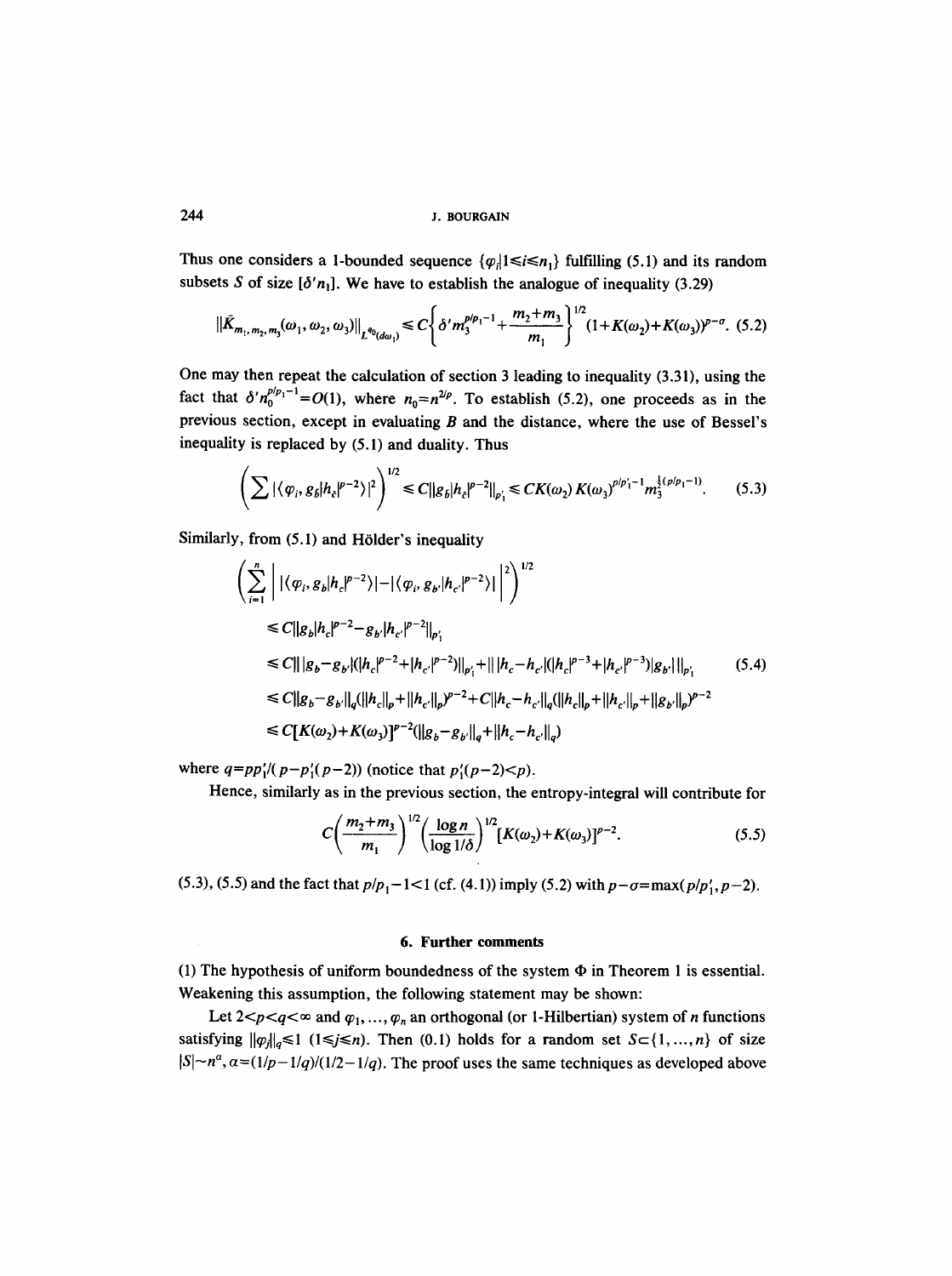Thus one considers a 1-bounded sequence  $\{\varphi_i | 1 \le i \le n_1\}$  fulfilling (5.1) and its random subsets S of size  $[\delta' n_1]$ . We have to establish the analogue of inequality (3.29)

$$
\|\tilde{K}_{m_1,m_2,m_3}(\omega_1,\omega_2,\omega_3)\|_{L^{q_0}(d\omega_1)} \le C\bigg\{\delta' m_3^{p/p_1-1} + \frac{m_2+m_3}{m_1}\bigg\}^{1/2} (1+K(\omega_2)+K(\omega_3))^{p-q}.\tag{5.2}
$$

One may then repeat the calculation of section 3 leading to inequality (3.31), using the fact that  $\delta' n_0^{p/p_1-1} = O(1)$ , where  $n_0 = n^{2/p}$ . To establish (5.2), one proceeds as in the previous section, except in evaluating  $B$  and the distance, where the use of Bessel's inequality is replaced by (5.1) and duality. Thus

$$
\left(\sum |\langle \varphi_i, g_{\delta} | h_c |^{p-2} \rangle|^2\right)^{1/2} \leq C \|g_{\delta} |h_c|^{p-2} \|_{p_1'} \leq CK(\omega_2) K(\omega_3)^{p/p_1'-1} m_3^{\frac{1}{2}(p/p_1-1)}.
$$
 (5.3)

Similarly, from  $(5.1)$  and Hölder's inequality

$$
\left(\sum_{i=1}^{n} \left| |\langle \varphi_{i}, g_{b} | h_{c} |^{p-2} \rangle| - |\langle \varphi_{i}, g_{b'} | h_{c'} |^{p-2} \rangle| \right|^{2} \right)^{1/2}
$$
\n
$$
\leq C ||g_{b} | h_{c} |^{p-2} - g_{b'} | h_{c'} |^{p-2} ||_{p'_{1}}
$$
\n
$$
\leq C || |g_{b} - g_{b'} | (|h_{c} |^{p-2} + |h_{c'} |^{p-2}) ||_{p'_{1}} + || |h_{c} - h_{c'} | (|h_{c} |^{p-3} + |h_{c'} |^{p-3}) |g_{b'} ||_{p'_{1}}
$$
\n
$$
\leq C ||g_{b} - g_{b'} ||_{q} (||h_{c} ||_{p} + ||h_{c'} ||_{p})^{p-2} + C ||h_{c} - h_{c'} ||_{q} (||h_{c} ||_{p} + ||h_{c'} ||_{p} + ||g_{b'} ||_{p})^{p-2}
$$
\n
$$
\leq C[K(\omega_{2}) + K(\omega_{3})]^{p-2} (||g_{b} - g_{b'} ||_{q} + ||h_{c} - h_{c'} ||_{q})
$$
\n(5.4)

where  $q = pp'_1/(p-p'_1(p-2))$  (notice that  $p'_1(p-2) < p$ ).

Hence, similarly as in the previous section, the entropy-integral will contribute for

$$
C\left(\frac{m_2+m_3}{m_1}\right)^{1/2} \left(\frac{\log n}{\log 1/\delta}\right)^{1/2} [K(\omega_2)+K(\omega_3)]^{p-2}.
$$
 (5.5)

(5.3), (5.5) and the fact that  $p/p_1 - 1 < 1$  (cf. (4.1)) imply (5.2) with  $p - \sigma = \max(p/p'_1, p-2)$ .

#### **6. Further comments**

(1) The hypothesis of uniform boundedness of the system  $\Phi$  in Theorem 1 is essential. Weakening this assumption, the following statement may be shown:

Let  $2 < p < q < \infty$  and  $\varphi_1, \ldots, \varphi_n$  an orthogonal (or 1-Hilbertian) system of *n* functions satisfying  $\|\varphi_i\|_{q} \le 1$  ( $1 \le j \le n$ ). Then (0.1) holds for a random set  $S \subset \{1, ..., n\}$  of size  $|S| \sim n^{\alpha}$ ,  $\alpha = (1/p-1/q)/(1/2-1/q)$ . The proof uses the same techniques as developed above